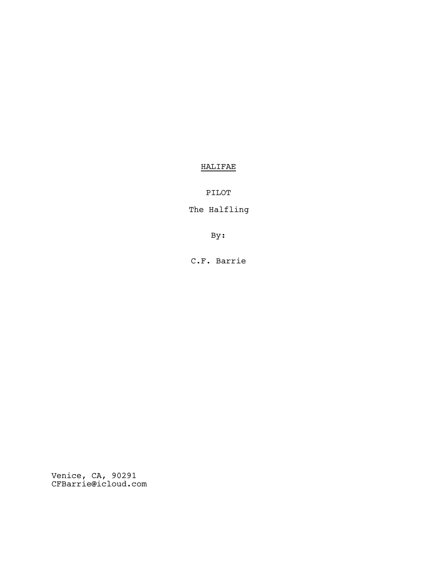# HALIFAE

PILOT

The Halfling

By:

C.F. Barrie

Venice, CA, 90291 CFBarrie@icloud.com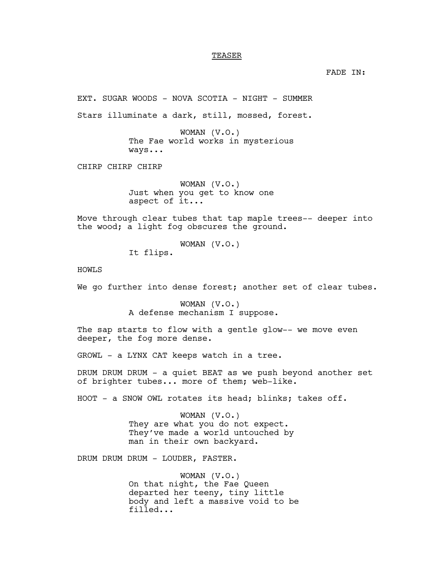## TEASER

FADE IN:

EXT. SUGAR WOODS - NOVA SCOTIA - NIGHT - SUMMER

Stars illuminate a dark, still, mossed, forest.

WOMAN (V.O.) The Fae world works in mysterious ways...

CHIRP CHIRP CHIRP

WOMAN (V.O.) Just when you get to know one aspect of it...

Move through clear tubes that tap maple trees-- deeper into the wood; a light fog obscures the ground.

WOMAN (V.O.)

It flips.

HOWLS

We go further into dense forest; another set of clear tubes.

WOMAN (V.O.) A defense mechanism I suppose.

The sap starts to flow with a gentle glow-- we move even deeper, the fog more dense.

GROWL - a LYNX CAT keeps watch in a tree.

DRUM DRUM DRUM - a quiet BEAT as we push beyond another set of brighter tubes... more of them; web-like.

HOOT - a SNOW OWL rotates its head; blinks; takes off.

WOMAN (V.O.) They are what you do not expect. They've made a world untouched by man in their own backyard.

DRUM DRUM DRUM - LOUDER, FASTER.

WOMAN (V.O.) On that night, the Fae Queen departed her teeny, tiny little body and left a massive void to be filled...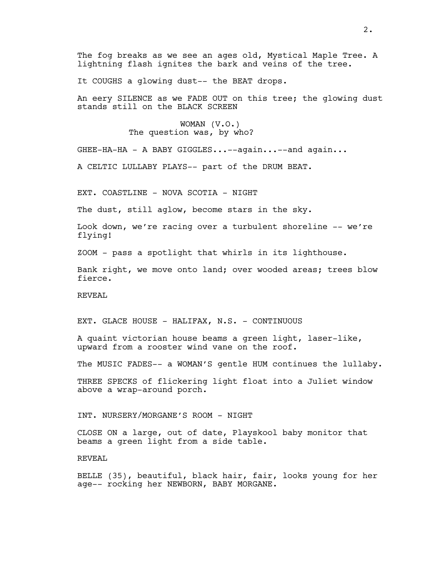The fog breaks as we see an ages old, Mystical Maple Tree. A lightning flash ignites the bark and veins of the tree.

It COUGHS a glowing dust-- the BEAT drops.

An eery SILENCE as we FADE OUT on this tree; the glowing dust stands still on the BLACK SCREEN

> WOMAN (V.O.) The question was, by who?

GHEE-HA-HA - A BABY GIGGLES...--again...--and again...

A CELTIC LULLABY PLAYS-- part of the DRUM BEAT.

EXT. COASTLINE - NOVA SCOTIA - NIGHT

The dust, still aglow, become stars in the sky.

Look down, we're racing over a turbulent shoreline -- we're flying!

ZOOM - pass a spotlight that whirls in its lighthouse.

Bank right, we move onto land; over wooded areas; trees blow fierce.

REVEAL

EXT. GLACE HOUSE - HALIFAX, N.S. - CONTINUOUS

A quaint victorian house beams a green light, laser-like, upward from a rooster wind vane on the roof.

The MUSIC FADES-- a WOMAN'S gentle HUM continues the lullaby.

THREE SPECKS of flickering light float into a Juliet window above a wrap-around porch.

INT. NURSERY/MORGANE'S ROOM - NIGHT

CLOSE ON a large, out of date, Playskool baby monitor that beams a green light from a side table.

REVEAL

BELLE (35), beautiful, black hair, fair, looks young for her age-- rocking her NEWBORN, BABY MORGANE.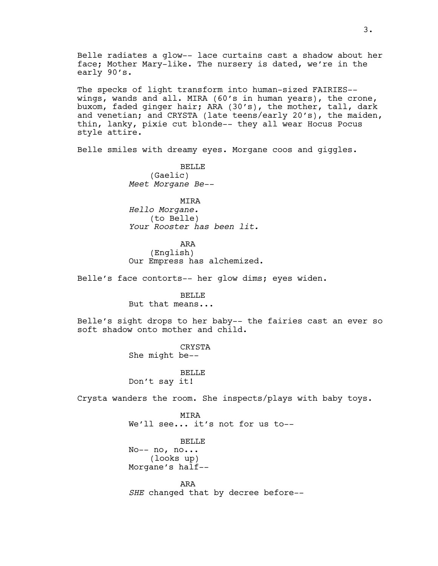Belle radiates a glow-- lace curtains cast a shadow about her face; Mother Mary-like. The nursery is dated, we're in the early 90's.

The specks of light transform into human-sized FAIRIES- wings, wands and all. MIRA (60's in human years), the crone, buxom, faded ginger hair; ARA (30's), the mother, tall, dark and venetian; and CRYSTA (late teens/early 20's), the maiden, thin, lanky, pixie cut blonde-- they all wear Hocus Pocus style attire.

Belle smiles with dreamy eyes. Morgane coos and giggles.

**BELLE** (Gaelic) *Meet Morgane Be--*

MIRA *Hello Morgane.* (to Belle) *Your Rooster has been lit.*

ARA (English) Our Empress has alchemized.

Belle's face contorts-- her glow dims; eyes widen.

BELLE But that means...

Belle's sight drops to her baby-- the fairies cast an ever so soft shadow onto mother and child.

> CRYSTA She might be--

BELLE Don't say it!

Crysta wanders the room. She inspects/plays with baby toys.

MIRA We'll see... it's not for us to--

BELLE No-- no, no... (looks up) Morgane's half--

ARA *SHE* changed that by decree before--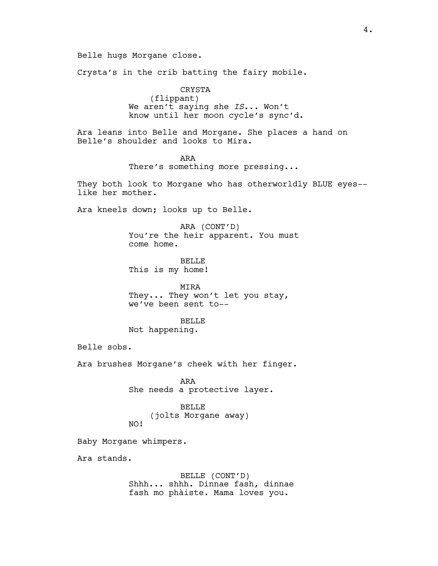Belle hugs Morgane close.

Crysta's in the crib batting the fairy mobile.

CRYSTA (flippant) We aren't saying she *IS*... Won't know until her moon cycle's sync'd.

Ara leans into Belle and Morgane. She places a hand on Belle's shoulder and looks to Mira.

> ARA There's something more pressing...

They both look to Morgane who has otherworldly BLUE eyes- like her mother.

Ara kneels down; looks up to Belle.

ARA (CONT'D) You're the heir apparent. You must come home.

**BELLE** This is my home!

MIRA They... They won't let you stay, we've been sent to--

#### **BELLE**

Not happening.

Belle sobs.

Ara brushes Morgane's cheek with her finger.

ARA She needs a protective layer.

BELLE (jolts Morgane away) NO!

Baby Morgane whimpers.

Ara stands.

BELLE (CONT'D) Shhh... shhh. Dinnae fash, dinnae fash mo phàiste. Mama loves you.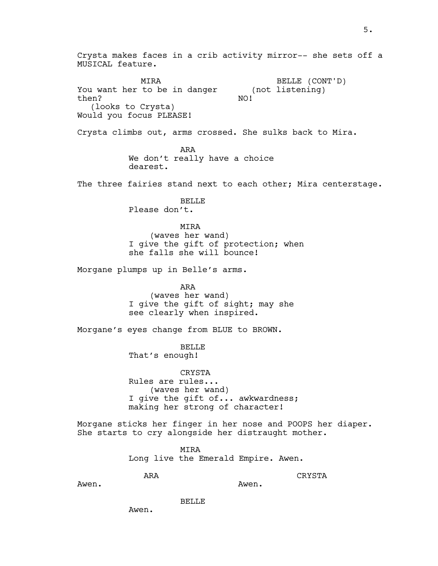Crysta makes faces in a crib activity mirror-- she sets off a MUSICAL feature. MIRA You want her to be in danger then? (looks to Crysta) Would you focus PLEASE! BELLE (CONT'D) (not listening) NO! Crysta climbs out, arms crossed. She sulks back to Mira. ARA We don't really have a choice dearest. The three fairies stand next to each other; Mira centerstage. BELLE Please don't. MIRA (waves her wand) I give the gift of protection; when she falls she will bounce! Morgane plumps up in Belle's arms. ARA (waves her wand) I give the gift of sight; may she see clearly when inspired. Morgane's eyes change from BLUE to BROWN. BELLE That's enough! CRYSTA Rules are rules... (waves her wand) I give the gift of... awkwardness; making her strong of character! Morgane sticks her finger in her nose and POOPS her diaper. She starts to cry alongside her distraught mother. MIRA Long live the Emerald Empire. Awen. ARA Awen. CRYSTA Awen.

BELLE

Awen.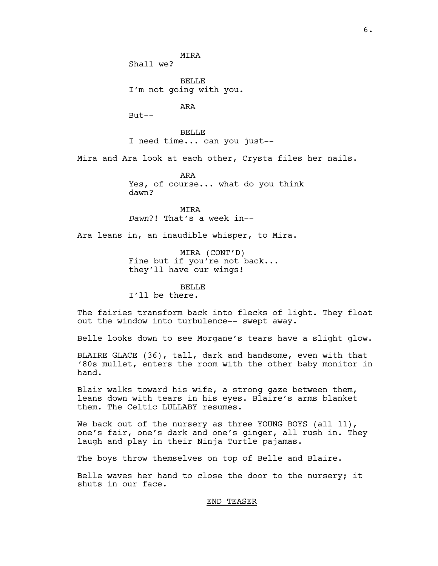**MTRA** Shall we?

**BELLE** I'm not going with you.

ARA

But--

BELLE I need time... can you just--

Mira and Ara look at each other, Crysta files her nails.

ARA Yes, of course... what do you think dawn?

MIRA *Dawn*?! That's a week in--

Ara leans in, an inaudible whisper, to Mira.

MIRA (CONT'D) Fine but if you're not back... they'll have our wings!

#### BELLE

I'll be there.

The fairies transform back into flecks of light. They float out the window into turbulence-- swept away.

Belle looks down to see Morgane's tears have a slight glow.

BLAIRE GLACE (36), tall, dark and handsome, even with that '80s mullet, enters the room with the other baby monitor in hand.

Blair walks toward his wife, a strong gaze between them, leans down with tears in his eyes. Blaire's arms blanket them. The Celtic LULLABY resumes.

We back out of the nursery as three YOUNG BOYS (all 11), one's fair, one's dark and one's ginger, all rush in. They laugh and play in their Ninja Turtle pajamas.

The boys throw themselves on top of Belle and Blaire.

Belle waves her hand to close the door to the nursery; it shuts in our face.

#### END TEASER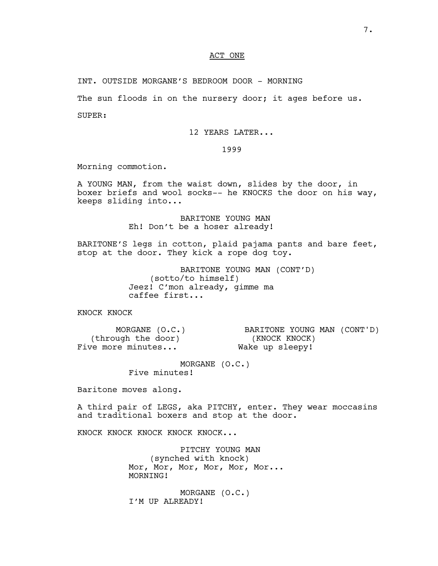## ACT ONE

INT. OUTSIDE MORGANE'S BEDROOM DOOR - MORNING

The sun floods in on the nursery door; it ages before us.

SUPER:

12 YEARS LATER...

1999

Morning commotion.

A YOUNG MAN, from the waist down, slides by the door, in boxer briefs and wool socks-- he KNOCKS the door on his way, keeps sliding into...

> BARITONE YOUNG MAN Eh! Don't be a hoser already!

BARITONE'S legs in cotton, plaid pajama pants and bare feet, stop at the door. They kick a rope dog toy.

> BARITONE YOUNG MAN (CONT'D) (sotto/to himself) Jeez! C'mon already, gimme ma caffee first...

KNOCK KNOCK

MORGANE (O.C.) (through the door) Five more minutes... BARITONE YOUNG MAN (CONT'D) (KNOCK KNOCK) Wake up sleepy!

> MORGANE (O.C.) Five minutes!

Baritone moves along.

A third pair of LEGS, aka PITCHY, enter. They wear moccasins and traditional boxers and stop at the door.

KNOCK KNOCK KNOCK KNOCK KNOCK...

PITCHY YOUNG MAN (synched with knock) Mor, Mor, Mor, Mor, Mor, Mor... MORNING!

MORGANE (O.C.) I'M UP ALREADY!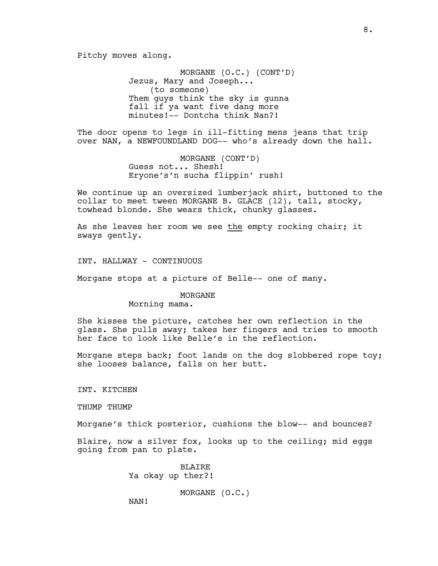Pitchy moves along.

MORGANE (O.C.) (CONT'D) Jezus, Mary and Joseph... (to someone) Them guys think the sky is gunna fall if ya want five dang more minutes!-- Dontcha think Nan?!

The door opens to legs in ill-fitting mens jeans that trip over NAN, a NEWFOUNDLAND DOG-- who's already down the hall.

> MORGANE (CONT'D) Guess not... Shesh! Eryone's'n sucha flippin' rush!

We continue up an oversized lumberjack shirt, buttoned to the collar to meet tween MORGANE B. GLACE (12), tall, stocky, towhead blonde. She wears thick, chunky glasses.

As she leaves her room we see the empty rocking chair; it sways gently.

INT. HALLWAY - CONTINUOUS

Morgane stops at a picture of Belle-- one of many.

MORGANE

Morning mama.

She kisses the picture, catches her own reflection in the glass. She pulls away; takes her fingers and tries to smooth her face to look like Belle's in the reflection.

Morgane steps back; foot lands on the dog slobbered rope toy; she looses balance, falls on her butt.

INT. KITCHEN

THUMP THUMP

Morgane's thick posterior, cushions the blow-- and bounces?

Blaire, now a silver fox, looks up to the ceiling; mid eggs going from pan to plate.

> BLAIRE Ya okay up ther?!

> > MORGANE (O.C.)

NAN!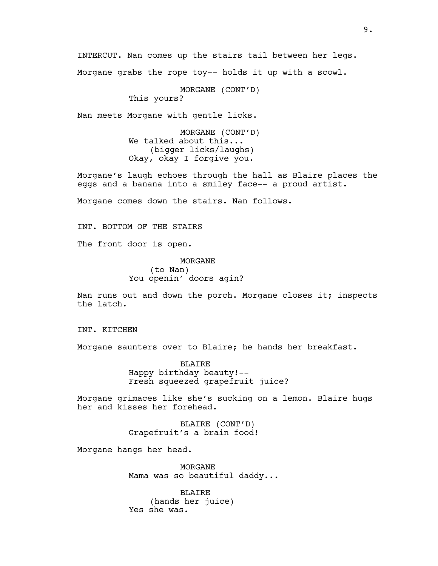INTERCUT. Nan comes up the stairs tail between her legs. Morgane grabs the rope toy-- holds it up with a scowl.

MORGANE (CONT'D)

This yours?

Nan meets Morgane with gentle licks.

MORGANE (CONT'D) We talked about this... (bigger licks/laughs) Okay, okay I forgive you.

Morgane's laugh echoes through the hall as Blaire places the eggs and a banana into a smiley face-- a proud artist.

Morgane comes down the stairs. Nan follows.

INT. BOTTOM OF THE STAIRS

The front door is open.

MORGANE (to Nan) You openin' doors agin?

Nan runs out and down the porch. Morgane closes it; inspects the latch.

INT. KITCHEN

Morgane saunters over to Blaire; he hands her breakfast.

BLAIRE Happy birthday beauty!-- Fresh squeezed grapefruit juice?

Morgane grimaces like she's sucking on a lemon. Blaire hugs her and kisses her forehead.

> BLAIRE (CONT'D) Grapefruit's a brain food!

Morgane hangs her head.

MORGANE Mama was so beautiful daddy...

BLAIRE (hands her juice) Yes she was.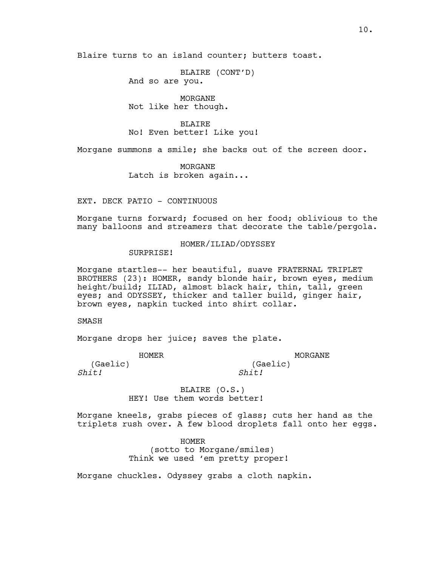Blaire turns to an island counter; butters toast.

BLAIRE (CONT'D) And so are you.

MORGANE Not like her though.

BLAIRE No! Even better! Like you!

Morgane summons a smile; she backs out of the screen door.

MORGANE Latch is broken again...

EXT. DECK PATIO - CONTINUOUS

Morgane turns forward; focused on her food; oblivious to the many balloons and streamers that decorate the table/pergola.

## HOMER/ILIAD/ODYSSEY

SURPRISE!

Morgane startles-- her beautiful, suave FRATERNAL TRIPLET BROTHERS (23): HOMER, sandy blonde hair, brown eyes, medium height/build; ILIAD, almost black hair, thin, tall, green eyes; and ODYSSEY, thicker and taller build, ginger hair, brown eyes, napkin tucked into shirt collar.

SMASH

*Shit!*

Morgane drops her juice; saves the plate.

HOMER (Gaelic)

MORGANE (Gaelic) *Shit!*

BLAIRE (O.S.) HEY! Use them words better!

Morgane kneels, grabs pieces of glass; cuts her hand as the triplets rush over. A few blood droplets fall onto her eggs.

> HOMER (sotto to Morgane/smiles) Think we used 'em pretty proper!

Morgane chuckles. Odyssey grabs a cloth napkin.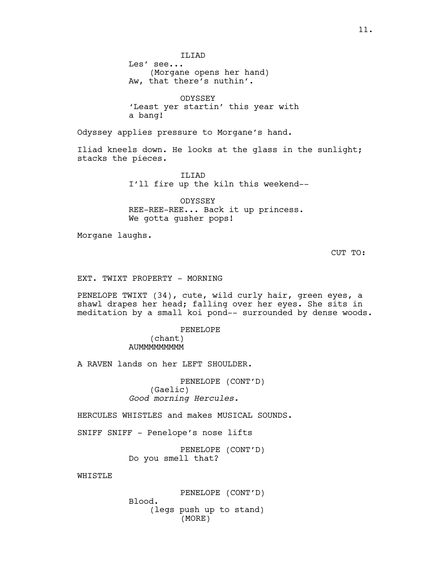**TLTAD** Les' see... (Morgane opens her hand) Aw, that there's nuthin'.

ODYSSEY 'Least yer startin' this year with a bang!

Odyssey applies pressure to Morgane's hand.

Iliad kneels down. He looks at the glass in the sunlight; stacks the pieces.

> ILIAD I'll fire up the kiln this weekend--

ODYSSEY REE-REE-REE... Back it up princess. We gotta gusher pops!

Morgane laughs.

CUT TO:

EXT. TWIXT PROPERTY - MORNING

PENELOPE TWIXT (34), cute, wild curly hair, green eyes, a shawl drapes her head; falling over her eyes. She sits in meditation by a small koi pond-- surrounded by dense woods.

> PENELOPE (chant) **AUMMMMMMMM**

A RAVEN lands on her LEFT SHOULDER.

PENELOPE (CONT'D) (Gaelic) *Good morning Hercules.*

HERCULES WHISTLES and makes MUSICAL SOUNDS.

SNIFF SNIFF - Penelope's nose lifts

PENELOPE (CONT'D) Do you smell that?

WHISTLE

PENELOPE (CONT'D)

Blood. (legs push up to stand) (MORE)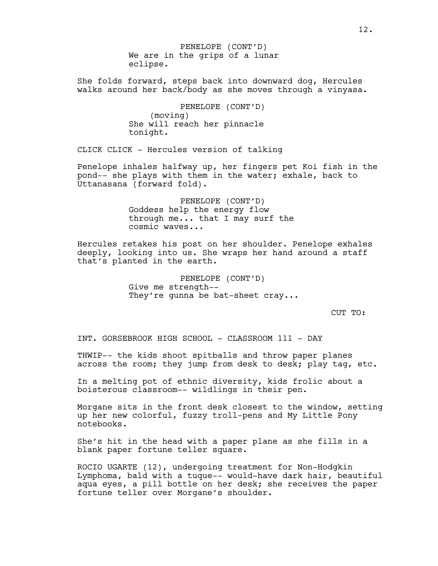We are in the grips of a lunar eclipse. PENELOPE (CONT'D)

She folds forward, steps back into downward dog, Hercules walks around her back/body as she moves through a vinyasa.

> PENELOPE (CONT'D) (moving) She will reach her pinnacle tonight.

CLICK CLICK - Hercules version of talking

Penelope inhales halfway up, her fingers pet Koi fish in the pond-- she plays with them in the water; exhale, back to Uttanasana (forward fold).

> PENELOPE (CONT'D) Goddess help the energy flow through me... that I may surf the cosmic waves...

Hercules retakes his post on her shoulder. Penelope exhales deeply, looking into us. She wraps her hand around a staff that's planted in the earth.

> PENELOPE (CONT'D) Give me strength-- They're gunna be bat-sheet cray...

> > CUT TO:

INT. GORSEBROOK HIGH SCHOOL - CLASSROOM 111 - DAY

THWIP-- the kids shoot spitballs and throw paper planes across the room; they jump from desk to desk; play tag, etc.

In a melting pot of ethnic diversity, kids frolic about a boisterous classroom-- wildlings in their pen.

Morgane sits in the front desk closest to the window, setting up her new colorful, fuzzy troll-pens and My Little Pony notebooks.

She's hit in the head with a paper plane as she fills in a blank paper fortune teller square.

ROCIO UGARTE (12), undergoing treatment for Non-Hodgkin Lymphoma, bald with a tuque-- would-have dark hair, beautiful aqua eyes, a pill bottle on her desk; she receives the paper fortune teller over Morgane's shoulder.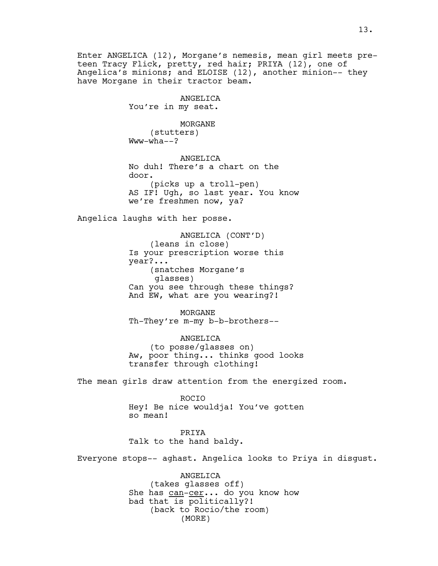Enter ANGELICA (12), Morgane's nemesis, mean girl meets preteen Tracy Flick, pretty, red hair; PRIYA (12), one of Angelica's minions; and ELOISE (12), another minion-- they have Morgane in their tractor beam.

> ANGELICA You're in my seat.

MORGANE (stutters) Www-wha--?

ANGELICA No duh! There's a chart on the door. (picks up a troll-pen) AS IF! Ugh, so last year. You know we're freshmen now, ya?

Angelica laughs with her posse.

ANGELICA (CONT'D) (leans in close) Is your prescription worse this year?... (snatches Morgane's glasses) Can you see through these things? And EW, what are you wearing?!

MORGANE Th-They're m-my b-b-brothers--

ANGELICA (to posse/glasses on) Aw, poor thing... thinks good looks transfer through clothing!

The mean girls draw attention from the energized room.

ROCIO Hey! Be nice wouldja! You've gotten so mean!

PRIYA Talk to the hand baldy.

Everyone stops-- aghast. Angelica looks to Priya in disgust.

ANGELICA (takes glasses off) She has can-cer... do you know how bad that is politically?! (back to Rocio/the room) (MORE)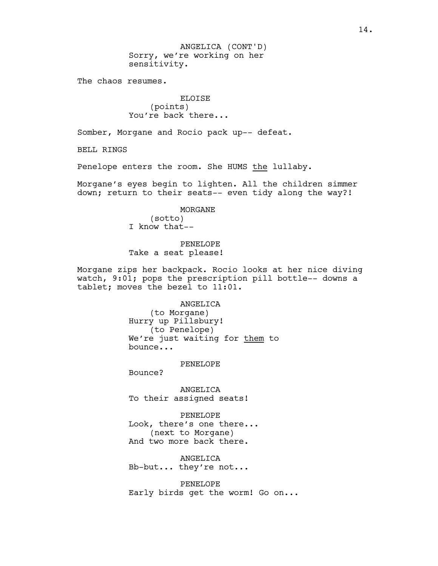Sorry, we're working on her sensitivity. ANGELICA (CONT'D)

The chaos resumes.

ELOISE (points) You're back there...

Somber, Morgane and Rocio pack up-- defeat.

BELL RINGS

Penelope enters the room. She HUMS the lullaby.

Morgane's eyes begin to lighten. All the children simmer down; return to their seats-- even tidy along the way?!

> MORGANE (sotto) I know that--

PENELOPE Take a seat please!

Morgane zips her backpack. Rocio looks at her nice diving watch, 9:01; pops the prescription pill bottle-- downs a tablet; moves the bezel to 11:01.

ANGELICA

(to Morgane) Hurry up Pillsbury! (to Penelope) We're just waiting for them to bounce...

PENELOPE

Bounce?

ANGELICA To their assigned seats!

PENELOPE Look, there's one there... (next to Morgane) And two more back there.

ANGELICA Bb-but... they're not...

PENELOPE Early birds get the worm! Go on...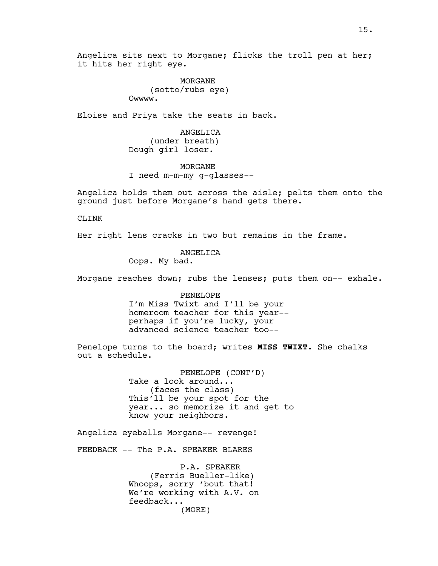Angelica sits next to Morgane; flicks the troll pen at her; it hits her right eye.

> MORGANE (sotto/rubs eye) Owwww.

Eloise and Priya take the seats in back.

ANGELICA (under breath) Dough girl loser.

MORGANE I need m-m-my g-glasses--

Angelica holds them out across the aisle; pelts them onto the ground just before Morgane's hand gets there.

CLINK

Her right lens cracks in two but remains in the frame.

ANGELICA Oops. My bad.

Morgane reaches down; rubs the lenses; puts them on-- exhale.

PENELOPE I'm Miss Twixt and I'll be your homeroom teacher for this year- perhaps if you're lucky, your advanced science teacher too--

Penelope turns to the board; writes **MISS TWIXT**. She chalks out a schedule.

> PENELOPE (CONT'D) Take a look around... (faces the class) This'll be your spot for the year... so memorize it and get to know your neighbors.

Angelica eyeballs Morgane-- revenge!

FEEDBACK -- The P.A. SPEAKER BLARES

P.A. SPEAKER (Ferris Bueller-like) Whoops, sorry 'bout that! We're working with A.V. on feedback... (MORE)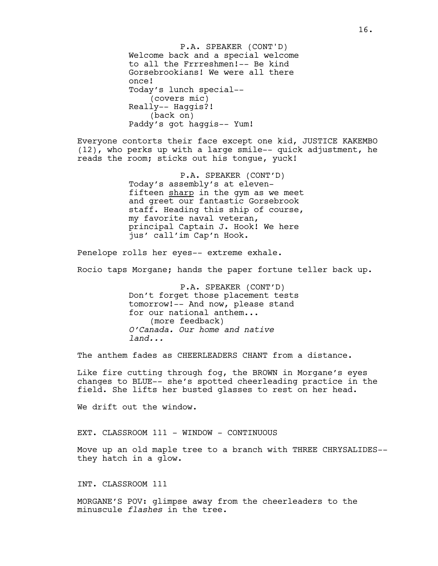Welcome back and a special welcome to all the Frrreshmen!-- Be kind Gorsebrookians! We were all there once! Today's lunch special-- (covers mic) Really-- Haggis?! (back on) Paddy's got haggis-- Yum! P.A. SPEAKER (CONT'D)

Everyone contorts their face except one kid, JUSTICE KAKEMBO (12), who perks up with a large smile-- quick adjustment, he reads the room; sticks out his tongue, yuck!

> P.A. SPEAKER (CONT'D) Today's assembly's at elevenfifteen sharp in the gym as we meet and greet our fantastic Gorsebrook staff. Heading this ship of course, my favorite naval veteran, principal Captain J. Hook! We here jus' call'im Cap'n Hook.

Penelope rolls her eyes-- extreme exhale.

Rocio taps Morgane; hands the paper fortune teller back up.

P.A. SPEAKER (CONT'D) Don't forget those placement tests tomorrow!-- And now, please stand for our national anthem... (more feedback) *O'Canada. Our home and native land...*

The anthem fades as CHEERLEADERS CHANT from a distance.

Like fire cutting through fog, the BROWN in Morgane's eyes changes to BLUE-- she's spotted cheerleading practice in the field. She lifts her busted glasses to rest on her head.

We drift out the window.

EXT. CLASSROOM 111 - WINDOW - CONTINUOUS

Move up an old maple tree to a branch with THREE CHRYSALIDES- they hatch in a glow.

INT. CLASSROOM 111

MORGANE'S POV: glimpse away from the cheerleaders to the minuscule *flashes* in the tree.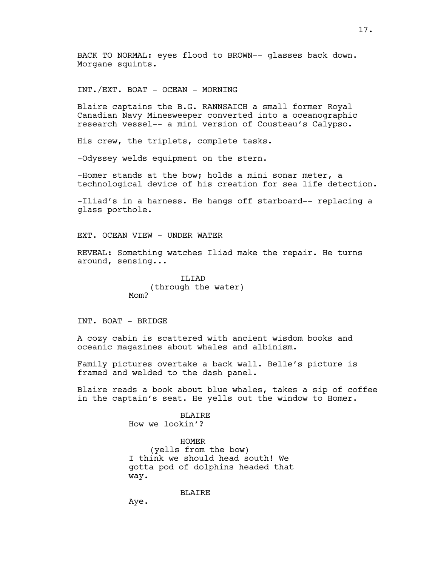BACK TO NORMAL: eyes flood to BROWN-- glasses back down. Morgane squints.

INT./EXT. BOAT - OCEAN - MORNING

Blaire captains the B.G. RANNSAICH a small former Royal Canadian Navy Minesweeper converted into a oceanographic research vessel-- a mini version of Cousteau's Calypso.

His crew, the triplets, complete tasks.

-Odyssey welds equipment on the stern.

-Homer stands at the bow; holds a mini sonar meter, a technological device of his creation for sea life detection.

-Iliad's in a harness. He hangs off starboard-- replacing a glass porthole.

EXT. OCEAN VIEW - UNDER WATER

REVEAL: Something watches Iliad make the repair. He turns around, sensing...

> TT<sub>J</sub>TAD (through the water) Mom?

### INT. BOAT - BRIDGE

A cozy cabin is scattered with ancient wisdom books and oceanic magazines about whales and albinism.

Family pictures overtake a back wall. Belle's picture is framed and welded to the dash panel.

Blaire reads a book about blue whales, takes a sip of coffee in the captain's seat. He yells out the window to Homer.

> **BLAIRE** How we lookin'?

HOMER (yells from the bow) I think we should head south! We gotta pod of dolphins headed that way.

BLAIRE

Aye.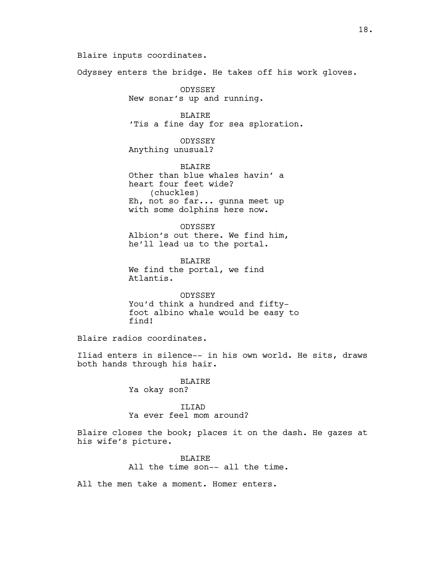Blaire inputs coordinates.

Odyssey enters the bridge. He takes off his work gloves.

ODYSSEY New sonar's up and running.

BLAIRE 'Tis a fine day for sea sploration.

ODYSSEY Anything unusual?

BLAIRE Other than blue whales havin' a heart four feet wide? (chuckles) Eh, not so far... gunna meet up with some dolphins here now.

ODYSSEY Albion's out there. We find him, he'll lead us to the portal.

**BLAIRE** We find the portal, we find Atlantis.

ODYSSEY You'd think a hundred and fiftyfoot albino whale would be easy to find!

Blaire radios coordinates.

Iliad enters in silence-- in his own world. He sits, draws both hands through his hair.

## BLAIRE Ya okay son?

## ILIAD Ya ever feel mom around?

Blaire closes the book; places it on the dash. He gazes at his wife's picture.

> BLAIRE All the time son-- all the time.

All the men take a moment. Homer enters.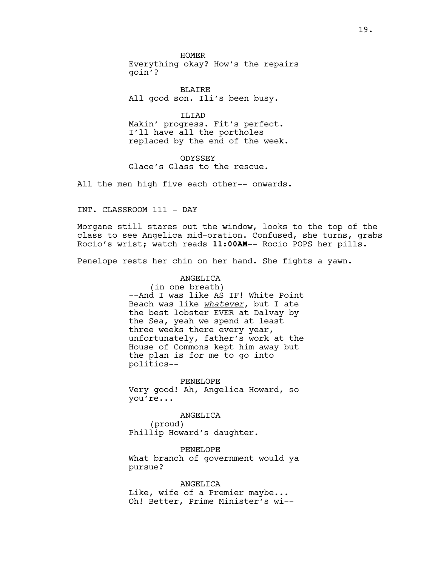HOMER Everything okay? How's the repairs goin'?

BLAIRE All good son. Ili's been busy.

ILIAD Makin' progress. Fit's perfect. I'll have all the portholes replaced by the end of the week.

ODYSSEY Glace's Glass to the rescue.

All the men high five each other-- onwards.

INT. CLASSROOM 111 - DAY

Morgane still stares out the window, looks to the top of the class to see Angelica mid-oration. Confused, she turns, grabs Rocio's wrist; watch reads **11:00AM**-- Rocio POPS her pills.

Penelope rests her chin on her hand. She fights a yawn.

ANGELICA (in one breath) --And I was like AS IF! White Point Beach was like *whatever*, but I ate the best lobster EVER at Dalvay by the Sea, yeah we spend at least three weeks there every year, unfortunately, father's work at the House of Commons kept him away but the plan is for me to go into politics--

PENELOPE Very good! Ah, Angelica Howard, so you're...

ANGELICA (proud) Phillip Howard's daughter.

PENELOPE What branch of government would ya pursue?

ANGELICA Like, wife of a Premier maybe... Oh! Better, Prime Minister's wi--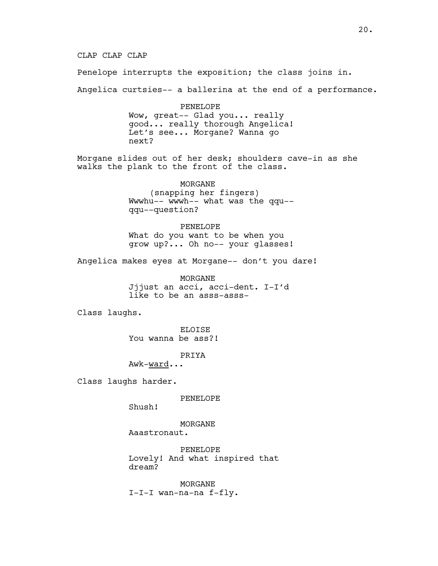CLAP CLAP CLAP

Penelope interrupts the exposition; the class joins in.

Angelica curtsies-- a ballerina at the end of a performance.

PENELOPE Wow, great-- Glad you... really good... really thorough Angelica! Let's see... Morgane? Wanna go next?

Morgane slides out of her desk; shoulders cave-in as she walks the plank to the front of the class.

> MORGANE (snapping her fingers) Wwwhu-- wwwh-- what was the qqu- qqu--question?

> PENELOPE What do you want to be when you grow up?... Oh no-- your glasses!

Angelica makes eyes at Morgane-- don't you dare!

MORGANE Jjjust an acci, acci-dent. I-I'd like to be an asss-asss-

Class laughs.

ELOISE You wanna be ass?!

PRIYA

Awk-ward...

Class laughs harder.

PENELOPE

Shush!

MORGANE Aaastronaut.

PENELOPE Lovely! And what inspired that dream?

MORGANE I-I-I wan-na-na f-fly.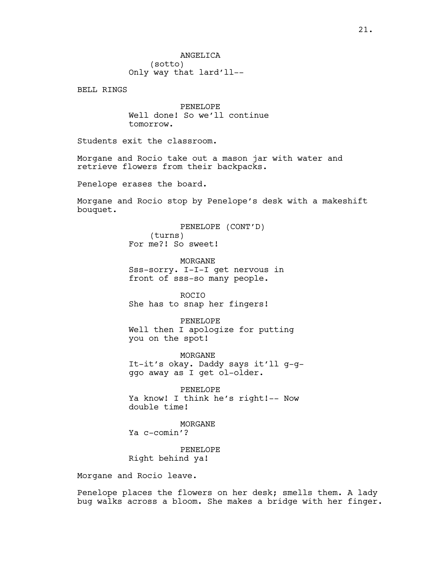BELL RINGS

PENELOPE Well done! So we'll continue tomorrow.

Students exit the classroom.

Morgane and Rocio take out a mason jar with water and retrieve flowers from their backpacks.

Penelope erases the board.

Morgane and Rocio stop by Penelope's desk with a makeshift bouquet.

> PENELOPE (CONT'D) (turns) For me?! So sweet!

**MORGANE** Sss-sorry. I-I-I get nervous in front of sss-so many people.

ROCIO She has to snap her fingers!

PENELOPE Well then I apologize for putting you on the spot!

MORGANE It-it's okay. Daddy says it'll g-gggo away as I get ol-older.

PENELOPE Ya know! I think he's right!-- Now double time!

MORGANE Ya c-comin'?

PENELOPE Right behind ya!

Morgane and Rocio leave.

Penelope places the flowers on her desk; smells them. A lady bug walks across a bloom. She makes a bridge with her finger.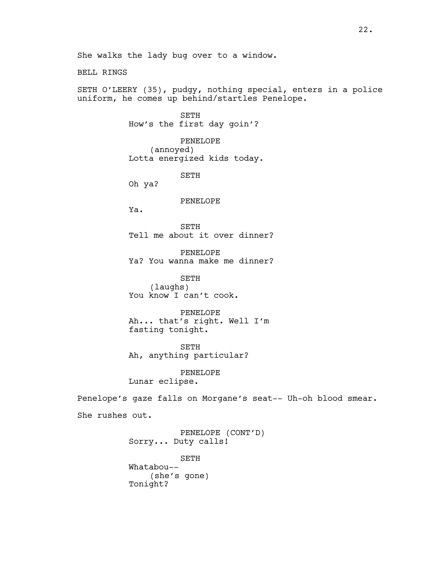BELL RINGS

SETH O'LEERY (35), pudgy, nothing special, enters in a police uniform, he comes up behind/startles Penelope.

> SETH How's the first day goin'?

PENELOPE (annoyed) Lotta energized kids today.

SETH

Oh ya?

### PENELOPE

Ya.

SETH Tell me about it over dinner?

PENELOPE Ya? You wanna make me dinner?

SETH (laughs) You know I can't cook.

PENELOPE Ah... that's right. Well I'm fasting tonight.

SETH Ah, anything particular?

PENELOPE Lunar eclipse.

Penelope's gaze falls on Morgane's seat-- Uh-oh blood smear.

She rushes out.

PENELOPE (CONT'D) Sorry... Duty calls!

SETH Whatabou-- (she's gone) Tonight?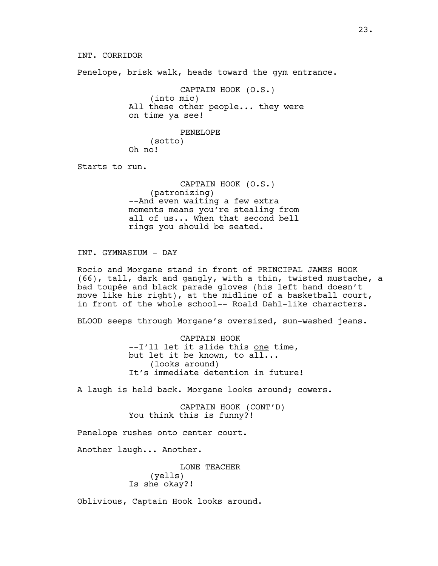Penelope, brisk walk, heads toward the gym entrance.

CAPTAIN HOOK (O.S.) (into mic) All these other people... they were on time ya see!

> PENELOPE (sotto)

Oh no!

Starts to run.

CAPTAIN HOOK (O.S.) (patronizing) --And even waiting a few extra moments means you're stealing from all of us... When that second bell rings you should be seated.

INT. GYMNASIUM - DAY

Rocio and Morgane stand in front of PRINCIPAL JAMES HOOK (66), tall, dark and gangly, with a thin, twisted mustache, a bad toupée and black parade gloves (his left hand doesn't move like his right), at the midline of a basketball court, in front of the whole school-- Roald Dahl-like characters.

BLOOD seeps through Morgane's oversized, sun-washed jeans.

CAPTAIN HOOK --I'll let it slide this one time, but let it be known, to all... (looks around) It's immediate detention in future!

A laugh is held back. Morgane looks around; cowers.

CAPTAIN HOOK (CONT'D) You think this is funny?!

Penelope rushes onto center court.

Another laugh... Another.

LONE TEACHER (yells) Is she okay?!

Oblivious, Captain Hook looks around.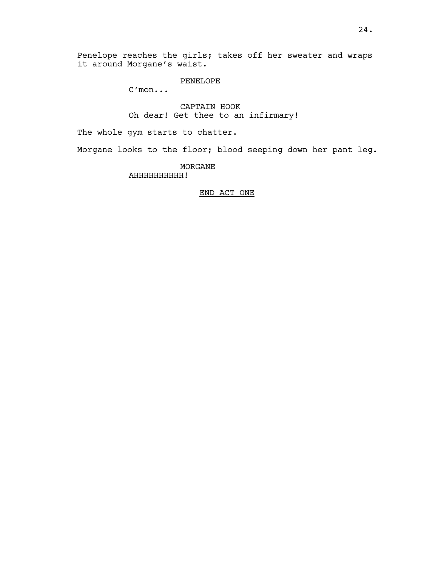Penelope reaches the girls; takes off her sweater and wraps it around Morgane's waist.

PENELOPE

C'mon...

CAPTAIN HOOK Oh dear! Get thee to an infirmary!

The whole gym starts to chatter.

Morgane looks to the floor; blood seeping down her pant leg.

MORGANE AHHHHHHHHHH!

## END ACT ONE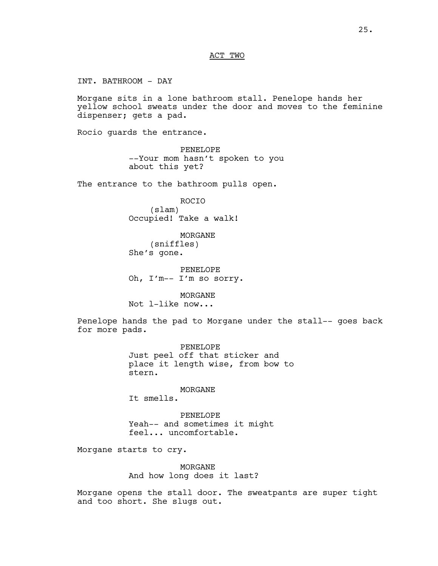## ACT TWO

INT. BATHROOM - DAY

Morgane sits in a lone bathroom stall. Penelope hands her yellow school sweats under the door and moves to the feminine dispenser; gets a pad.

Rocio guards the entrance.

PENELOPE --Your mom hasn't spoken to you about this yet?

The entrance to the bathroom pulls open.

ROCIO (slam) Occupied! Take a walk!

MORGANE (sniffles) She's gone.

PENELOPE Oh, I'm-- I'm so sorry.

MORGANE Not l-like now...

Penelope hands the pad to Morgane under the stall-- goes back for more pads.

> PENELOPE Just peel off that sticker and place it length wise, from bow to stern.

> > MORGANE

It smells.

PENELOPE Yeah-- and sometimes it might feel... uncomfortable.

Morgane starts to cry.

MORGANE And how long does it last?

Morgane opens the stall door. The sweatpants are super tight and too short. She slugs out.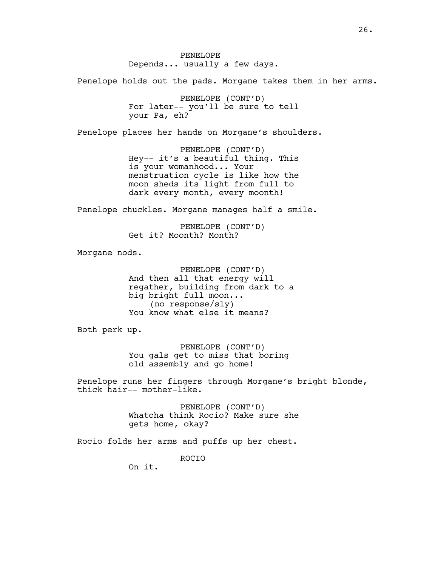PENELOPE Depends... usually a few days.

Penelope holds out the pads. Morgane takes them in her arms.

PENELOPE (CONT'D) For later-- you'll be sure to tell your Pa, eh?

Penelope places her hands on Morgane's shoulders.

PENELOPE (CONT'D) Hey-- it's a beautiful thing. This is your womanhood... Your menstruation cycle is like how the moon sheds its light from full to dark every month, every moonth!

Penelope chuckles. Morgane manages half a smile.

PENELOPE (CONT'D) Get it? Moonth? Month?

Morgane nods.

PENELOPE (CONT'D) And then all that energy will regather, building from dark to a big bright full moon... (no response/sly) You know what else it means?

Both perk up.

PENELOPE (CONT'D) You gals get to miss that boring old assembly and go home!

Penelope runs her fingers through Morgane's bright blonde, thick hair-- mother-like.

> PENELOPE (CONT'D) Whatcha think Rocio? Make sure she gets home, okay?

Rocio folds her arms and puffs up her chest.

ROCIO

On it.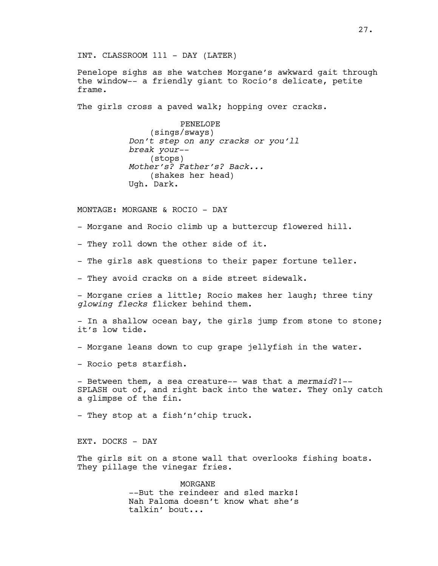INT. CLASSROOM 111 - DAY (LATER)

Penelope sighs as she watches Morgane's awkward gait through the window-- a friendly giant to Rocio's delicate, petite frame.

The girls cross a paved walk; hopping over cracks.

PENELOPE (sings/sways) *Don't step on any cracks or you'll break your--* (stops) *Mother's? Father's? Back...* (shakes her head) Ugh. Dark.

MONTAGE: MORGANE & ROCIO - DAY

- Morgane and Rocio climb up a buttercup flowered hill.

- They roll down the other side of it.

- The girls ask questions to their paper fortune teller.

- They avoid cracks on a side street sidewalk.

- Morgane cries a little; Rocio makes her laugh; three tiny *glowing flecks* flicker behind them.

- In a shallow ocean bay, the girls jump from stone to stone; it's low tide.

- Morgane leans down to cup grape jellyfish in the water.

- Rocio pets starfish.

- Between them, a sea creature-- was that a *mermaid*?!-- SPLASH out of, and right back into the water. They only catch a glimpse of the fin.

- They stop at a fish'n'chip truck.

EXT. DOCKS - DAY

The girls sit on a stone wall that overlooks fishing boats. They pillage the vinegar fries.

> MORGANE --But the reindeer and sled marks! Nah Paloma doesn't know what she's talkin' bout...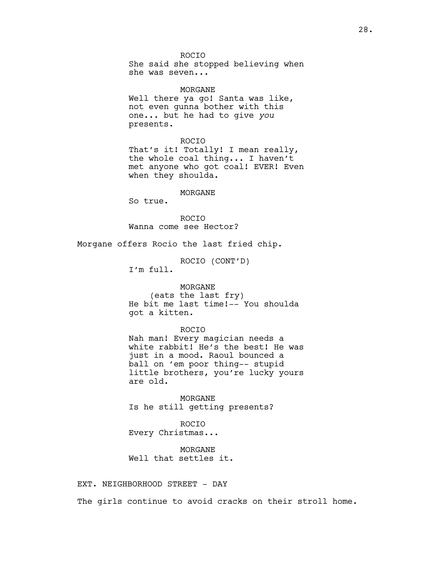ROCIO She said she stopped believing when she was seven...

MORGANE Well there ya go! Santa was like, not even gunna bother with this one... but he had to give *you* presents.

ROCIO That's it! Totally! I mean really, the whole coal thing... I haven't met anyone who got coal! EVER! Even when they shoulda.

### MORGANE

So true.

ROCIO Wanna come see Hector?

Morgane offers Rocio the last fried chip.

ROCIO (CONT'D)

I'm full.

### MORGANE

(eats the last fry) He bit me last time!-- You shoulda got a kitten.

#### ROCIO

Nah man! Every magician needs a white rabbit! He's the best! He was just in a mood. Raoul bounced a ball on 'em poor thing-- stupid little brothers, you're lucky yours are old.

MORGANE Is he still getting presents?

ROCIO Every Christmas...

MORGANE Well that settles it.

EXT. NEIGHBORHOOD STREET - DAY

The girls continue to avoid cracks on their stroll home.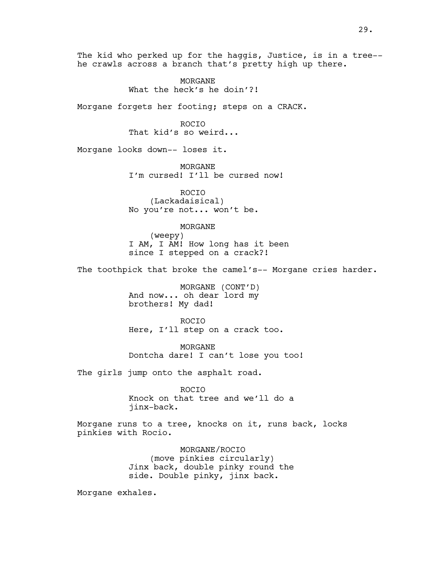The kid who perked up for the haggis, Justice, is in a tree- he crawls across a branch that's pretty high up there.

> MORGANE What the heck's he doin'?!

Morgane forgets her footing; steps on a CRACK.

ROCIO That kid's so weird...

Morgane looks down-- loses it.

MORGANE I'm cursed! I'll be cursed now!

ROCIO (Lackadaisical) No you're not... won't be.

### MORGANE

(weepy) I AM, I AM! How long has it been since I stepped on a crack?!

The toothpick that broke the camel's-- Morgane cries harder.

MORGANE (CONT'D) And now... oh dear lord my brothers! My dad!

ROCIO Here, I'll step on a crack too.

MORGANE Dontcha dare! I can't lose you too!

The girls jump onto the asphalt road.

ROCIO Knock on that tree and we'll do a jinx-back.

Morgane runs to a tree, knocks on it, runs back, locks pinkies with Rocio.

> MORGANE/ROCIO (move pinkies circularly) Jinx back, double pinky round the side. Double pinky, jinx back.

Morgane exhales.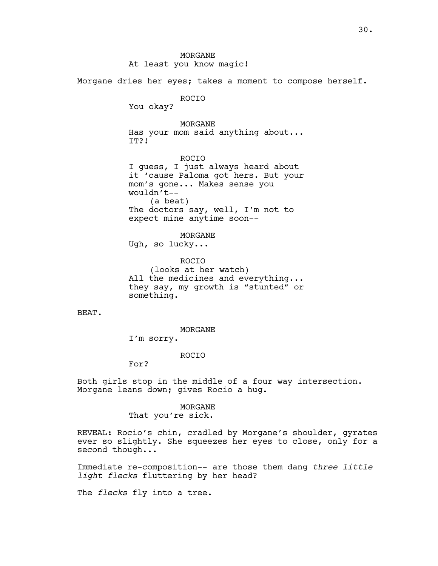MORGANE At least you know magic! Morgane dries her eyes; takes a moment to compose herself. ROCIO You okay? MORGANE Has your mom said anything about... IT?! ROCIO I guess, I just always heard about it 'cause Paloma got hers. But your mom's gone... Makes sense you wouldn't-- (a beat) The doctors say, well, I'm not to expect mine anytime soon-- MORGANE Ugh, so lucky... ROCIO (looks at her watch) All the medicines and everything... they say, my growth is "stunted" or something. BEAT. MORGANE I'm sorry. ROCIO For?

Both girls stop in the middle of a four way intersection. Morgane leans down; gives Rocio a hug.

#### MORGANE

That you're sick.

REVEAL: Rocio's chin, cradled by Morgane's shoulder, gyrates ever so slightly. She squeezes her eyes to close, only for a second though...

Immediate re-composition-- are those them dang *three little light flecks* fluttering by her head?

The *flecks* fly into a tree.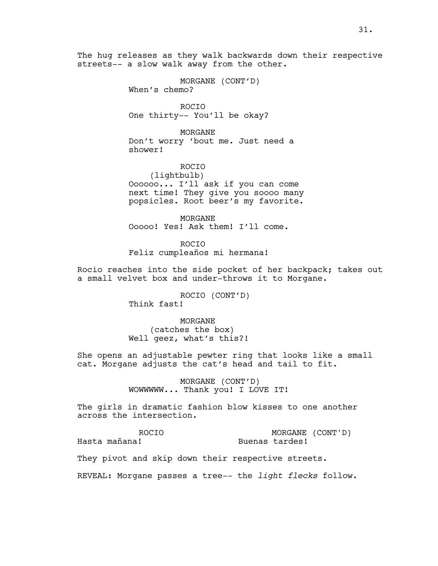The hug releases as they walk backwards down their respective streets-- a slow walk away from the other.

> MORGANE (CONT'D) When's chemo?

ROCIO One thirty-- You'll be okay?

MORGANE Don't worry 'bout me. Just need a shower!

ROCIO (lightbulb) Oooooo... I'll ask if you can come next time! They give you soooo many popsicles. Root beer's my favorite.

MORGANE Ooooo! Yes! Ask them! I'll come.

ROCIO Feliz cumpleaños mi hermana!

Rocio reaches into the side pocket of her backpack; takes out a small velvet box and under-throws it to Morgane.

> ROCIO (CONT'D) Think fast!

> MORGANE (catches the box) Well geez, what's this?!

She opens an adjustable pewter ring that looks like a small cat. Morgane adjusts the cat's head and tail to fit.

> MORGANE (CONT'D) WOWWWWW... Thank you! I LOVE IT!

The girls in dramatic fashion blow kisses to one another across the intersection.

ROCIO Hasta mañana!

MORGANE (CONT'D) Buenas tardes!

They pivot and skip down their respective streets.

REVEAL: Morgane passes a tree-- the *light flecks* follow.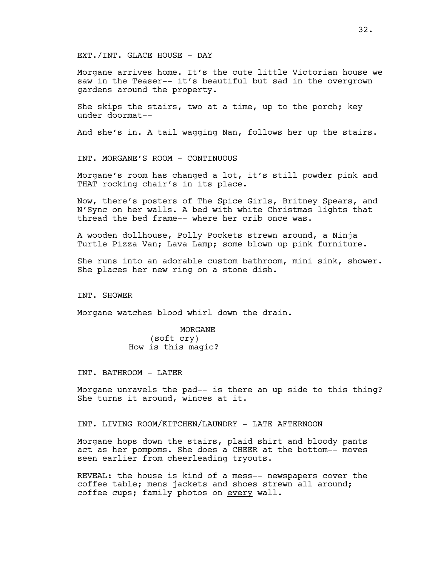EXT./INT. GLACE HOUSE - DAY

Morgane arrives home. It's the cute little Victorian house we saw in the Teaser-- it's beautiful but sad in the overgrown gardens around the property.

She skips the stairs, two at a time, up to the porch; key under doormat--

And she's in. A tail wagging Nan, follows her up the stairs.

INT. MORGANE'S ROOM - CONTINUOUS

Morgane's room has changed a lot, it's still powder pink and THAT rocking chair's in its place.

Now, there's posters of The Spice Girls, Britney Spears, and N'Sync on her walls. A bed with white Christmas lights that thread the bed frame-- where her crib once was.

A wooden dollhouse, Polly Pockets strewn around, a Ninja Turtle Pizza Van; Lava Lamp; some blown up pink furniture.

She runs into an adorable custom bathroom, mini sink, shower. She places her new ring on a stone dish.

INT. SHOWER

Morgane watches blood whirl down the drain.

MORGANE (soft cry) How is this magic?

INT. BATHROOM - LATER

Morgane unravels the pad-- is there an up side to this thing? She turns it around, winces at it.

INT. LIVING ROOM/KITCHEN/LAUNDRY - LATE AFTERNOON

Morgane hops down the stairs, plaid shirt and bloody pants act as her pompoms. She does a CHEER at the bottom-- moves seen earlier from cheerleading tryouts.

REVEAL: the house is kind of a mess-- newspapers cover the coffee table; mens jackets and shoes strewn all around; coffee cups; family photos on every wall.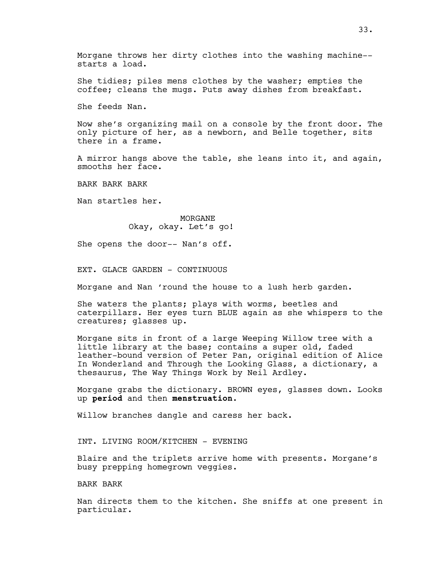Morgane throws her dirty clothes into the washing machine- starts a load.

She tidies; piles mens clothes by the washer; empties the coffee; cleans the mugs. Puts away dishes from breakfast.

She feeds Nan.

Now she's organizing mail on a console by the front door. The only picture of her, as a newborn, and Belle together, sits there in a frame.

A mirror hangs above the table, she leans into it, and again, smooths her face.

BARK BARK BARK

Nan startles her.

MORGANE Okay, okay. Let's go!

She opens the door-- Nan's off.

EXT. GLACE GARDEN - CONTINUOUS

Morgane and Nan 'round the house to a lush herb garden.

She waters the plants; plays with worms, beetles and caterpillars. Her eyes turn BLUE again as she whispers to the creatures; glasses up.

Morgane sits in front of a large Weeping Willow tree with a little library at the base; contains a super old, faded leather-bound version of Peter Pan, original edition of Alice In Wonderland and Through the Looking Glass, a dictionary, a thesaurus, The Way Things Work by Neil Ardley.

Morgane grabs the dictionary. BROWN eyes, glasses down. Looks up **period** and then **menstruation**.

Willow branches dangle and caress her back.

INT. LIVING ROOM/KITCHEN - EVENING

Blaire and the triplets arrive home with presents. Morgane's busy prepping homegrown veggies.

BARK BARK

Nan directs them to the kitchen. She sniffs at one present in particular.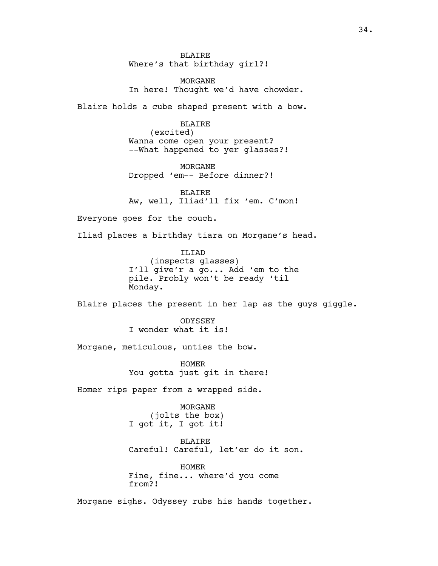**BLAIRE** Where's that birthday girl?!

MORGANE In here! Thought we'd have chowder.

Blaire holds a cube shaped present with a bow.

BLAIRE (excited) Wanna come open your present? --What happened to yer glasses?!

MORGANE Dropped 'em-- Before dinner?!

BLAIRE Aw, well, Iliad'll fix 'em. C'mon!

Everyone goes for the couch.

Iliad places a birthday tiara on Morgane's head.

ILIAD (inspects glasses) I'll give'r a go... Add 'em to the pile. Probly won't be ready 'til Monday.

Blaire places the present in her lap as the guys giggle.

**ODYSSEY** I wonder what it is!

Morgane, meticulous, unties the bow.

HOMER You gotta just git in there!

Homer rips paper from a wrapped side.

MORGANE (jolts the box) I got it, I got it!

BLAIRE Careful! Careful, let'er do it son.

HOMER Fine, fine... where'd you come from?!

Morgane sighs. Odyssey rubs his hands together.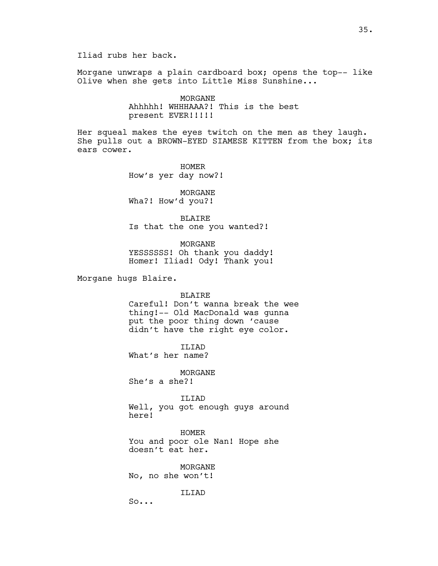Iliad rubs her back.

Morgane unwraps a plain cardboard box; opens the top-- like Olive when she gets into Little Miss Sunshine...

> MORGANE Ahhhhh! WHHHAAA?! This is the best present EVER!!!!!

Her squeal makes the eyes twitch on the men as they laugh. She pulls out a BROWN-EYED SIAMESE KITTEN from the box; its ears cower.

> HOMER How's yer day now?!

MORGANE Wha?! How'd you?!

BLAIRE Is that the one you wanted?!

MORGANE YESSSSSS! Oh thank you daddy! Homer! Iliad! Ody! Thank you!

Morgane hugs Blaire.

BLAIRE

Careful! Don't wanna break the wee thing!-- Old MacDonald was gunna put the poor thing down 'cause didn't have the right eye color.

ILIAD

What's her name?

MORGANE

She's a she?!

ILIAD Well, you got enough guys around here!

HOMER You and poor ole Nan! Hope she doesn't eat her.

MORGANE No, no she won't!

**TLTAD** 

So...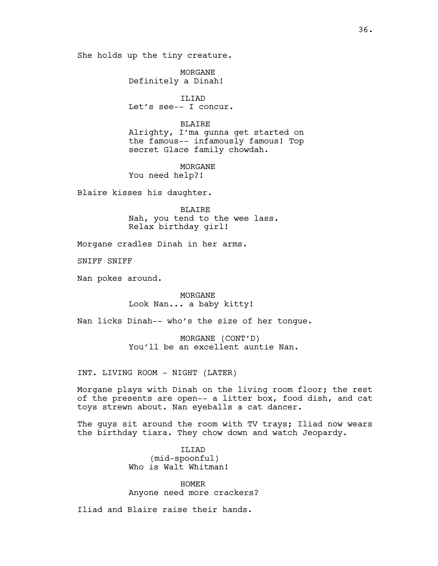She holds up the tiny creature.

MORGANE Definitely a Dinah!

ILIAD Let's see-- I concur.

## BLAIRE

Alrighty, I'ma gunna get started on the famous-- infamously famous! Top secret Glace family chowdah.

MORGANE You need help?!

Blaire kisses his daughter.

BLAIRE Nah, you tend to the wee lass. Relax birthday girl!

Morgane cradles Dinah in her arms.

SNIFF SNIFF

Nan pokes around.

MORGANE Look Nan... a baby kitty!

Nan licks Dinah-- who's the size of her tongue.

MORGANE (CONT'D) You'll be an excellent auntie Nan.

INT. LIVING ROOM - NIGHT (LATER)

Morgane plays with Dinah on the living room floor; the rest of the presents are open-- a litter box, food dish, and cat toys strewn about. Nan eyeballs a cat dancer.

The guys sit around the room with TV trays; Iliad now wears the birthday tiara. They chow down and watch Jeopardy.

> ILIAD (mid-spoonful) Who is Walt Whitman!

HOMER Anyone need more crackers?

Iliad and Blaire raise their hands.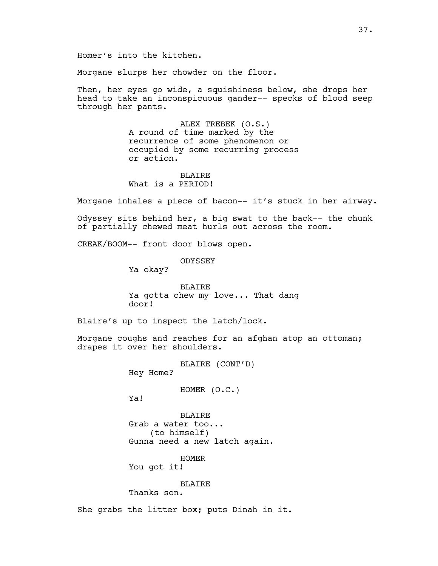Homer's into the kitchen.

Morgane slurps her chowder on the floor.

Then, her eyes go wide, a squishiness below, she drops her head to take an inconspicuous gander-- specks of blood seep through her pants.

> ALEX TREBEK (O.S.) A round of time marked by the recurrence of some phenomenon or occupied by some recurring process or action.

**BLAIRE** What is a PERIOD!

Morgane inhales a piece of bacon-- it's stuck in her airway.

Odyssey sits behind her, a big swat to the back-- the chunk of partially chewed meat hurls out across the room.

CREAK/BOOM-- front door blows open.

**ODYSSEY** 

Ya okay?

BLAIRE Ya gotta chew my love... That dang door!

Blaire's up to inspect the latch/lock.

Morgane coughs and reaches for an afghan atop an ottoman; drapes it over her shoulders.

BLAIRE (CONT'D)

Hey Home?

HOMER (O.C.)

Ya!

BLAIRE Grab a water too... (to himself) Gunna need a new latch again.

HOMER You got it!

BLAIRE

Thanks son.

She grabs the litter box; puts Dinah in it.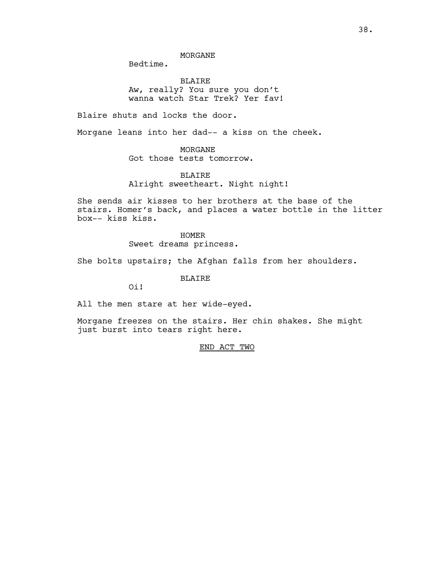Bedtime.

BLAIRE Aw, really? You sure you don't wanna watch Star Trek? Yer fav!

Blaire shuts and locks the door.

Morgane leans into her dad-- a kiss on the cheek.

## MORGANE

Got those tests tomorrow.

## BLAIRE

Alright sweetheart. Night night!

She sends air kisses to her brothers at the base of the stairs. Homer's back, and places a water bottle in the litter box-- kiss kiss.

> HOMER Sweet dreams princess.

She bolts upstairs; the Afghan falls from her shoulders.

BLAIRE

Oi!

All the men stare at her wide-eyed.

Morgane freezes on the stairs. Her chin shakes. She might just burst into tears right here.

END ACT TWO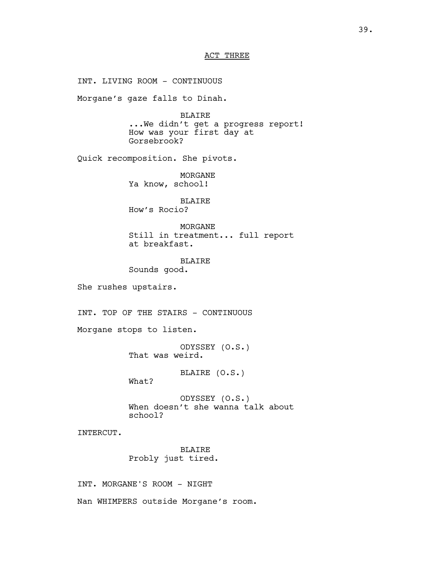## ACT THREE

INT. LIVING ROOM - CONTINUOUS Morgane's gaze falls to Dinah. BLAIRE ...We didn't get a progress report! How was your first day at Gorsebrook? Quick recomposition. She pivots. MORGANE Ya know, school! BLAIRE How's Rocio? MORGANE Still in treatment... full report at breakfast. **BLAIRE** Sounds good. She rushes upstairs. INT. TOP OF THE STAIRS - CONTINUOUS Morgane stops to listen. ODYSSEY (O.S.) That was weird. BLAIRE (O.S.) What? ODYSSEY (O.S.) When doesn't she wanna talk about school? INTERCUT. BLAIRE Probly just tired. INT. MORGANE'S ROOM - NIGHT Nan WHIMPERS outside Morgane's room.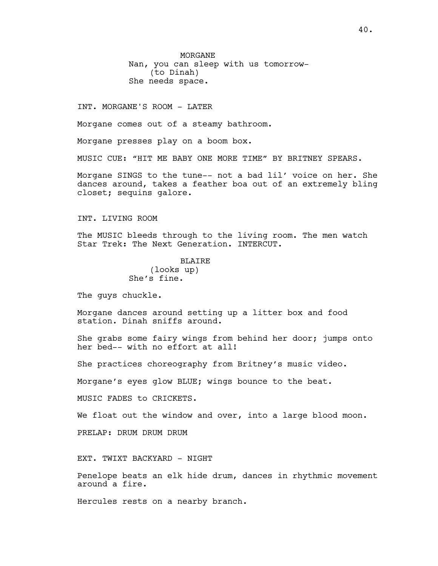MORGANE Nan, you can sleep with us tomorrow- (to Dinah) She needs space.

INT. MORGANE'S ROOM - LATER

Morgane comes out of a steamy bathroom.

Morgane presses play on a boom box.

MUSIC CUE: "HIT ME BABY ONE MORE TIME" BY BRITNEY SPEARS.

Morgane SINGS to the tune-- not a bad lil' voice on her. She dances around, takes a feather boa out of an extremely bling closet; sequins galore.

INT. LIVING ROOM

The MUSIC bleeds through to the living room. The men watch Star Trek: The Next Generation. INTERCUT.

> **BLAIRE** (looks up) She's fine.

The guys chuckle.

Morgane dances around setting up a litter box and food station. Dinah sniffs around.

She grabs some fairy wings from behind her door; jumps onto her bed-- with no effort at all!

She practices choreography from Britney's music video.

Morgane's eyes glow BLUE; wings bounce to the beat.

MUSIC FADES to CRICKETS.

We float out the window and over, into a large blood moon.

PRELAP: DRUM DRUM DRUM

EXT. TWIXT BACKYARD - NIGHT

Penelope beats an elk hide drum, dances in rhythmic movement around a fire.

Hercules rests on a nearby branch.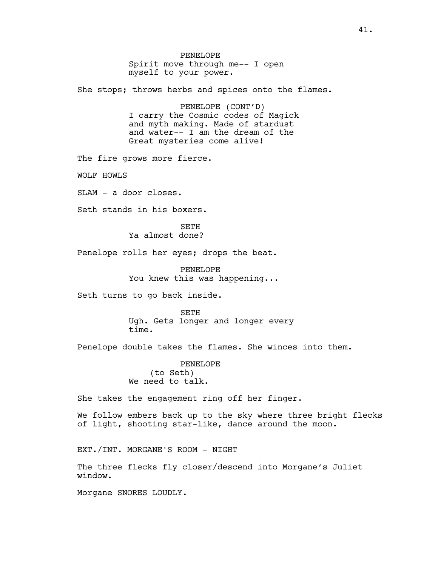PENELOPE Spirit move through me-- I open myself to your power. She stops; throws herbs and spices onto the flames. PENELOPE (CONT'D) I carry the Cosmic codes of Magick and myth making. Made of stardust and water-- I am the dream of the Great mysteries come alive! The fire grows more fierce. WOLF HOWLS SLAM - a door closes. Seth stands in his boxers. SETH Ya almost done? Penelope rolls her eyes; drops the beat. PENELOPE You knew this was happening... Seth turns to go back inside. SETH Ugh. Gets longer and longer every time. Penelope double takes the flames. She winces into them. PENELOPE (to Seth) We need to talk. She takes the engagement ring off her finger. We follow embers back up to the sky where three bright flecks of light, shooting star-like, dance around the moon. EXT./INT. MORGANE'S ROOM - NIGHT The three flecks fly closer/descend into Morgane's Juliet window.

Morgane SNORES LOUDLY.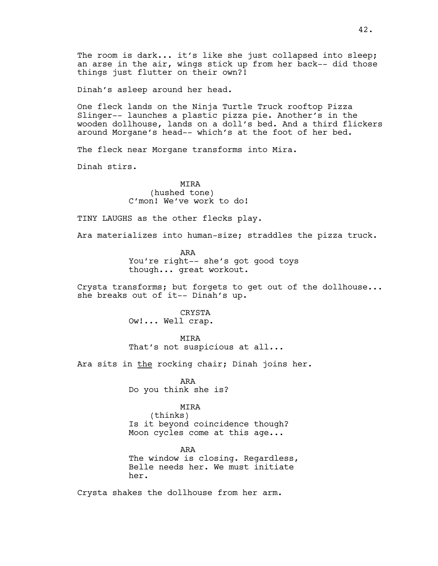Dinah's asleep around her head.

One fleck lands on the Ninja Turtle Truck rooftop Pizza Slinger-- launches a plastic pizza pie. Another's in the wooden dollhouse, lands on a doll's bed. And a third flickers around Morgane's head-- which's at the foot of her bed.

The fleck near Morgane transforms into Mira.

Dinah stirs.

MIRA (hushed tone) C'mon! We've work to do!

TINY LAUGHS as the other flecks play.

Ara materializes into human-size; straddles the pizza truck.

ARA You're right-- she's got good toys though... great workout.

Crysta transforms; but forgets to get out of the dollhouse... she breaks out of it-- Dinah's up.

> CRYSTA Ow!... Well crap.

> > **MTRA**

That's not suspicious at all...

Ara sits in the rocking chair; Dinah joins her.

ARA Do you think she is?

### MIRA

(thinks) Is it beyond coincidence though? Moon cycles come at this age...

ARA The window is closing. Regardless, Belle needs her. We must initiate her.

Crysta shakes the dollhouse from her arm.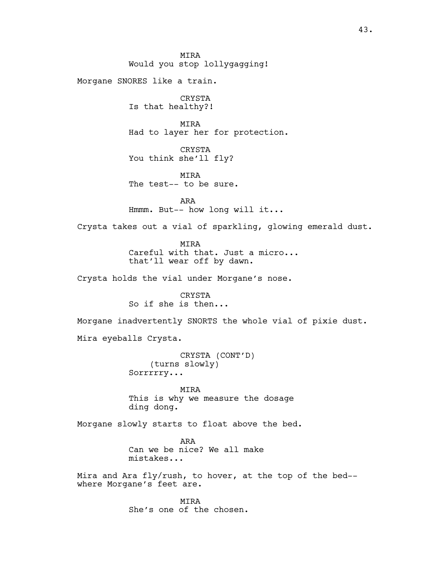**MTRA** Would you stop lollygagging! Morgane SNORES like a train. CRYSTA Is that healthy?! MIRA Had to layer her for protection. CRYSTA You think she'll fly? MIRA The test-- to be sure. ARA Hmmm. But-- how long will it... Crysta takes out a vial of sparkling, glowing emerald dust. **MTRA** Careful with that. Just a micro... that'll wear off by dawn. Crysta holds the vial under Morgane's nose. CRYSTA So if she is then... Morgane inadvertently SNORTS the whole vial of pixie dust. Mira eyeballs Crysta. CRYSTA (CONT'D) (turns slowly) Sorrrrry... MIRA This is why we measure the dosage ding dong. Morgane slowly starts to float above the bed. ARA Can we be nice? We all make mistakes... Mira and Ara fly/rush, to hover, at the top of the bed- where Morgane's feet are.

> MIRA She's one of the chosen.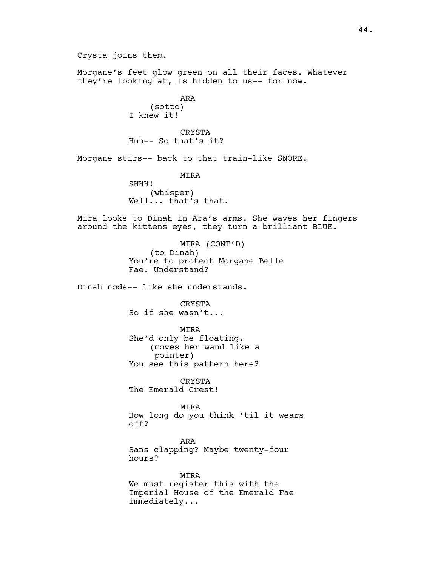Crysta joins them.

Morgane's feet glow green on all their faces. Whatever they're looking at, is hidden to us-- for now.

> ARA (sotto) I knew it!

CRYSTA Huh-- So that's it?

Morgane stirs-- back to that train-like SNORE.

MIRA

SHHH! (whisper) Well... that's that.

Mira looks to Dinah in Ara's arms. She waves her fingers around the kittens eyes, they turn a brilliant BLUE.

> MIRA (CONT'D) (to Dinah) You're to protect Morgane Belle Fae. Understand?

Dinah nods-- like she understands.

CRYSTA So if she wasn't...

MIRA She'd only be floating. (moves her wand like a pointer) You see this pattern here?

CRYSTA

The Emerald Crest!

MIRA How long do you think 'til it wears off?

ARA Sans clapping? Maybe twenty-four hours?

MIRA We must register this with the Imperial House of the Emerald Fae immediately...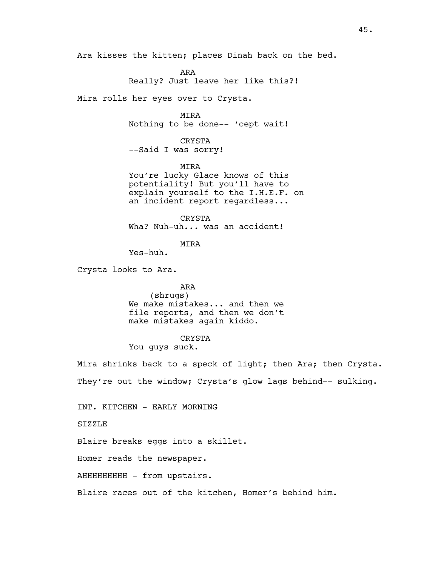Ara kisses the kitten; places Dinah back on the bed.

ARA Really? Just leave her like this?!

Mira rolls her eyes over to Crysta.

MIRA Nothing to be done-- 'cept wait!

CRYSTA --Said I was sorry!

MIRA You're lucky Glace knows of this potentiality! But you'll have to explain yourself to the I.H.E.F. on an incident report regardless...

CRYSTA Wha? Nuh-uh... was an accident!

MIRA

Yes-huh.

Crysta looks to Ara.

ARA

(shrugs) We make mistakes... and then we file reports, and then we don't make mistakes again kiddo.

CRYSTA

You guys suck.

Mira shrinks back to a speck of light; then Ara; then Crysta. They're out the window; Crysta's glow lags behind-- sulking.

INT. KITCHEN - EARLY MORNING

SIZZLE

Blaire breaks eggs into a skillet.

Homer reads the newspaper.

AHHHHHHHHHH - from upstairs.

Blaire races out of the kitchen, Homer's behind him.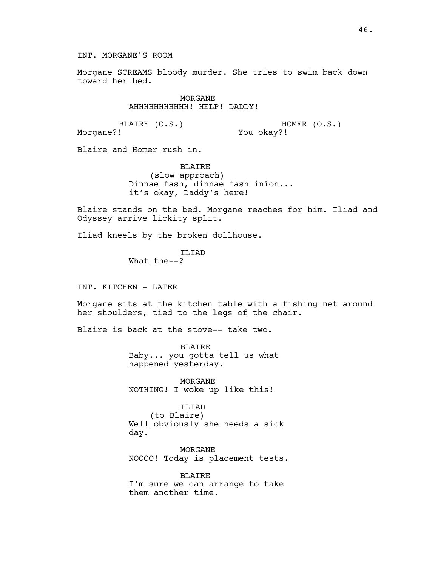INT. MORGANE'S ROOM

Morgane SCREAMS bloody murder. She tries to swim back down toward her bed.

> MORGANE AHHHHHHHHHHH! HELP! DADDY!

BLAIRE (O.S.) HOMER (O.S.) You okay?!

Morgane?!

Blaire and Homer rush in.

BLAIRE (slow approach) Dinnae fash, dinnae fash iníon... it's okay, Daddy's here!

Blaire stands on the bed. Morgane reaches for him. Iliad and Odyssey arrive lickity split.

Iliad kneels by the broken dollhouse.

ILIAD What the--?

INT. KITCHEN - LATER

Morgane sits at the kitchen table with a fishing net around her shoulders, tied to the legs of the chair.

Blaire is back at the stove-- take two.

BLAIRE Baby... you gotta tell us what happened yesterday.

MORGANE NOTHING! I woke up like this!

ILIAD (to Blaire) Well obviously she needs a sick day.

MORGANE NOOOO! Today is placement tests.

BLAIRE I'm sure we can arrange to take them another time.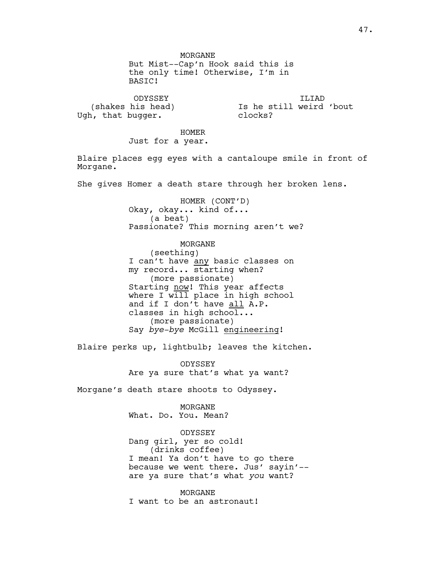MORGANE But Mist--Cap'n Hook said this is the only time! Otherwise, I'm in BASIC!

ODYSSEY (shakes his head) Ugh, that bugger.

ILIAD Is he still weird 'bout clocks?

HOMER

Just for a year.

Blaire places egg eyes with a cantaloupe smile in front of Morgane.

She gives Homer a death stare through her broken lens.

HOMER (CONT'D) Okay, okay... kind of... (a beat) Passionate? This morning aren't we?

MORGANE (seething) I can't have any basic classes on my record... starting when? (more passionate) Starting now! This year affects where I will place in high school and if I don't have all A.P. classes in high school... (more passionate) Say *bye-bye* McGill engineering!

Blaire perks up, lightbulb; leaves the kitchen.

ODYSSEY Are ya sure that's what ya want?

Morgane's death stare shoots to Odyssey.

MORGANE What. Do. You. Mean?

ODYSSEY Dang girl, yer so cold! (drinks coffee) I mean! Ya don't have to go there because we went there. Jus' sayin'- are ya sure that's what *you* want?

MORGANE I want to be an astronaut!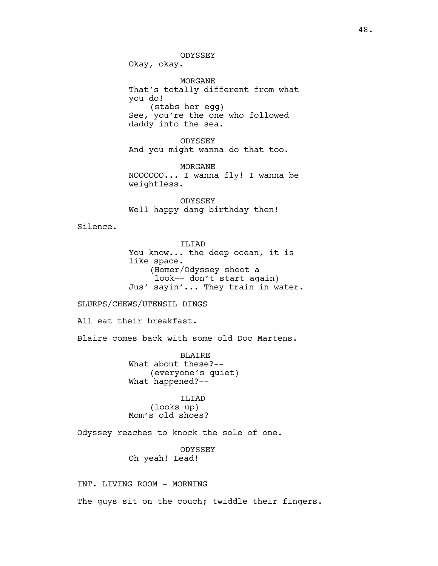Okay, okay.

MORGANE That's totally different from what you do! (stabs her egg) See, you're the one who followed daddy into the sea.

ODYSSEY And you might wanna do that too.

MORGANE NOOOOOO... I wanna fly! I wanna be weightless.

ODYSSEY Well happy dang birthday then!

Silence.

ILIAD You know... the deep ocean, it is like space. (Homer/Odyssey shoot a look-- don't start again) Jus' sayin'... They train in water.

### SLURPS/CHEWS/UTENSIL DINGS

All eat their breakfast.

Blaire comes back with some old Doc Martens.

**BLAIRE** What about these?-- (everyone's quiet) What happened?--

ILIAD (looks up) Mom's old shoes?

Odyssey reaches to knock the sole of one.

ODYSSEY Oh yeah! Lead!

INT. LIVING ROOM - MORNING The guys sit on the couch; twiddle their fingers.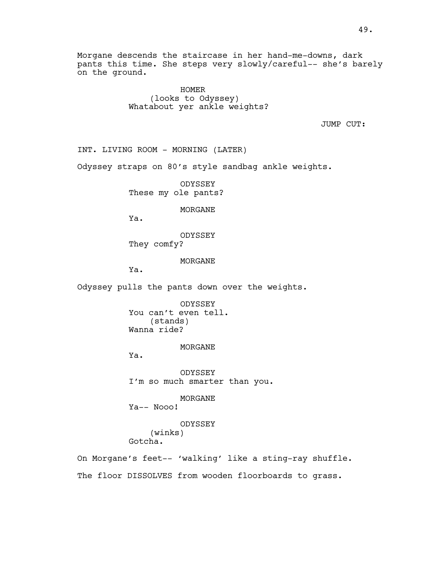Morgane descends the staircase in her hand-me-downs, dark pants this time. She steps very slowly/careful-- she's barely on the ground.

> HOMER (looks to Odyssey) Whatabout yer ankle weights?

> > JUMP CUT:

INT. LIVING ROOM - MORNING (LATER)

Odyssey straps on 80's style sandbag ankle weights.

ODYSSEY These my ole pants?

MORGANE

Ya.

ODYSSEY They comfy?

MORGANE

Ya.

Odyssey pulls the pants down over the weights.

ODYSSEY You can't even tell. (stands) Wanna ride?

MORGANE

Ya.

ODYSSEY I'm so much smarter than you.

MORGANE

Ya-- Nooo!

ODYSSEY (winks) Gotcha.

On Morgane's feet-- 'walking' like a sting-ray shuffle. The floor DISSOLVES from wooden floorboards to grass.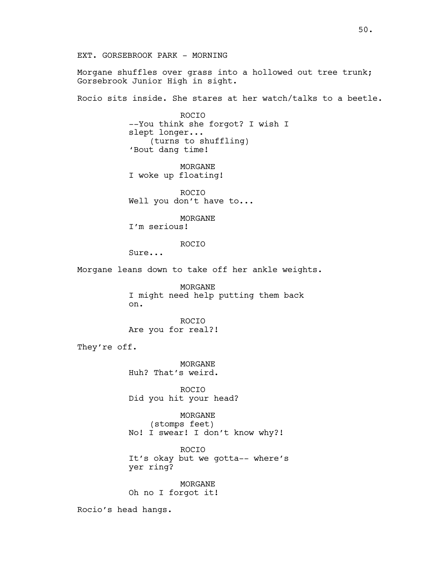EXT. GORSEBROOK PARK - MORNING

Morgane shuffles over grass into a hollowed out tree trunk; Gorsebrook Junior High in sight.

Rocio sits inside. She stares at her watch/talks to a beetle.

ROCIO --You think she forgot? I wish I slept longer... (turns to shuffling) 'Bout dang time!

MORGANE I woke up floating!

ROCIO Well you don't have to...

MORGANE I'm serious!

ROCIO

Sure...

Morgane leans down to take off her ankle weights.

MORGANE I might need help putting them back on.

ROCIO Are you for real?!

They're off.

MORGANE Huh? That's weird.

ROCIO Did you hit your head?

MORGANE (stomps feet) No! I swear! I don't know why?!

ROCIO It's okay but we gotta-- where's yer ring?

MORGANE Oh no I forgot it!

Rocio's head hangs.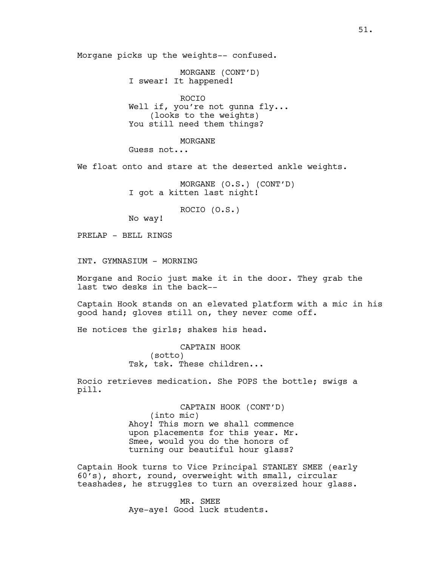Morgane picks up the weights-- confused.

MORGANE (CONT'D) I swear! It happened!

ROCIO Well if, you're not gunna fly... (looks to the weights) You still need them things?

MORGANE Guess not...

We float onto and stare at the deserted ankle weights.

MORGANE (O.S.) (CONT'D) I got a kitten last night!

ROCIO (O.S.)

No way!

PRELAP - BELL RINGS

INT. GYMNASIUM - MORNING

Morgane and Rocio just make it in the door. They grab the last two desks in the back--

Captain Hook stands on an elevated platform with a mic in his good hand; gloves still on, they never come off.

He notices the girls; shakes his head.

CAPTAIN HOOK (sotto) Tsk, tsk. These children...

Rocio retrieves medication. She POPS the bottle; swigs a pill.

> CAPTAIN HOOK (CONT'D) (into mic) Ahoy! This morn we shall commence upon placements for this year. Mr. Smee, would you do the honors of turning our beautiful hour glass?

Captain Hook turns to Vice Principal STANLEY SMEE (early 60's), short, round, overweight with small, circular teashades, he struggles to turn an oversized hour glass.

> MR. SMEE Aye-aye! Good luck students.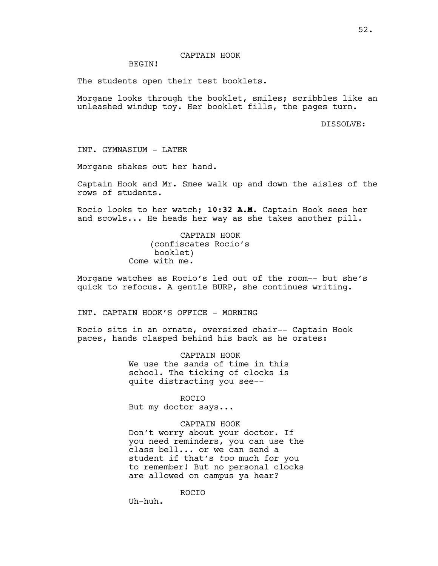## CAPTAIN HOOK

## BEGIN!

The students open their test booklets.

Morgane looks through the booklet, smiles; scribbles like an unleashed windup toy. Her booklet fills, the pages turn.

DISSOLVE:

INT. GYMNASIUM - LATER

Morgane shakes out her hand.

Captain Hook and Mr. Smee walk up and down the aisles of the rows of students.

Rocio looks to her watch; **10:32 A.M**. Captain Hook sees her and scowls... He heads her way as she takes another pill.

> CAPTAIN HOOK (confiscates Rocio's booklet) Come with me.

Morgane watches as Rocio's led out of the room-- but she's quick to refocus. A gentle BURP, she continues writing.

INT. CAPTAIN HOOK'S OFFICE - MORNING

Rocio sits in an ornate, oversized chair-- Captain Hook paces, hands clasped behind his back as he orates:

> CAPTAIN HOOK We use the sands of time in this school. The ticking of clocks is quite distracting you see--

> > ROCIO

But my doctor says...

## CAPTAIN HOOK

Don't worry about your doctor. If you need reminders, you can use the class bell... or we can send a student if that's *too* much for you to remember! But no personal clocks are allowed on campus ya hear?

ROCIO

Uh-huh.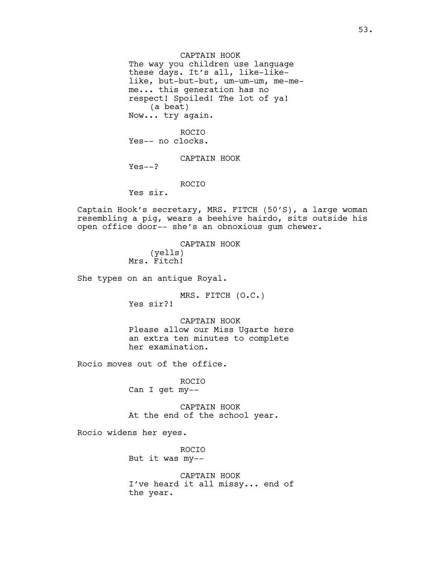CAPTAIN HOOK The way you children use language these days. It's all, like-likelike, but-but-but, um-um-um, me-meme... this generation has no respect! Spoiled! The lot of ya! (a beat) Now... try again. ROCIO

Yes-- no clocks.

CAPTAIN HOOK

 $Yes--?$ 

ROCIO

Yes sir.

Captain Hook's secretary, MRS. FITCH (50'S), a large woman resembling a pig, wears a beehive hairdo, sits outside his open office door-- she's an obnoxious gum chewer.

> CAPTAIN HOOK (yells) Mrs. Fitch!

She types on an antique Royal.

MRS. FITCH (O.C.) Yes sir?!

CAPTAIN HOOK Please allow our Miss Ugarte here an extra ten minutes to complete her examination.

Rocio moves out of the office.

ROCIO Can I get my--

CAPTAIN HOOK At the end of the school year.

Rocio widens her eyes.

ROCIO But it was my--

CAPTAIN HOOK I've heard it all missy... end of the year.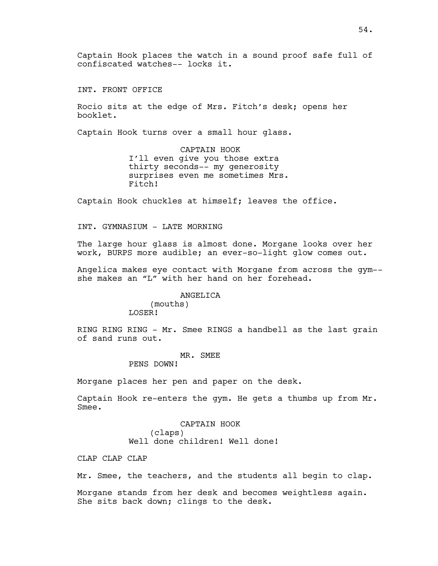Captain Hook places the watch in a sound proof safe full of confiscated watches-- locks it.

INT. FRONT OFFICE

Rocio sits at the edge of Mrs. Fitch's desk; opens her booklet.

Captain Hook turns over a small hour glass.

CAPTAIN HOOK I'll even give you those extra thirty seconds-- my generosity surprises even me sometimes Mrs. Fitch!

Captain Hook chuckles at himself; leaves the office.

INT. GYMNASIUM - LATE MORNING

The large hour glass is almost done. Morgane looks over her work, BURPS more audible; an ever-so-light glow comes out.

Angelica makes eye contact with Morgane from across the gym- she makes an "L" with her hand on her forehead.

> ANGELICA (mouths) LOSER!

RING RING RING - Mr. Smee RINGS a handbell as the last grain of sand runs out.

> MR. SMEE PENS DOWN!

Morgane places her pen and paper on the desk.

Captain Hook re-enters the gym. He gets a thumbs up from Mr. Smee.

> CAPTAIN HOOK (claps) Well done children! Well done!

CLAP CLAP CLAP

Mr. Smee, the teachers, and the students all begin to clap.

Morgane stands from her desk and becomes weightless again. She sits back down; clings to the desk.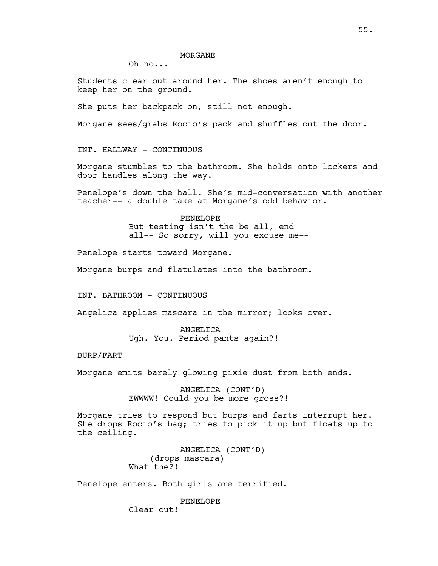Oh no...

Students clear out around her. The shoes aren't enough to keep her on the ground.

She puts her backpack on, still not enough.

Morgane sees/grabs Rocio's pack and shuffles out the door.

INT. HALLWAY - CONTINUOUS

Morgane stumbles to the bathroom. She holds onto lockers and door handles along the way.

Penelope's down the hall. She's mid-conversation with another teacher-- a double take at Morgane's odd behavior.

> PENELOPE But testing isn't the be all, end all-- So sorry, will you excuse me--

Penelope starts toward Morgane.

Morgane burps and flatulates into the bathroom.

INT. BATHROOM - CONTINUOUS

Angelica applies mascara in the mirror; looks over.

ANGELICA Ugh. You. Period pants again?!

BURP/FART

Morgane emits barely glowing pixie dust from both ends.

ANGELICA (CONT'D) EWWWW! Could you be more gross?!

Morgane tries to respond but burps and farts interrupt her. She drops Rocio's bag; tries to pick it up but floats up to the ceiling.

> ANGELICA (CONT'D) (drops mascara) What the?!

Penelope enters. Both girls are terrified.

PENELOPE Clear out!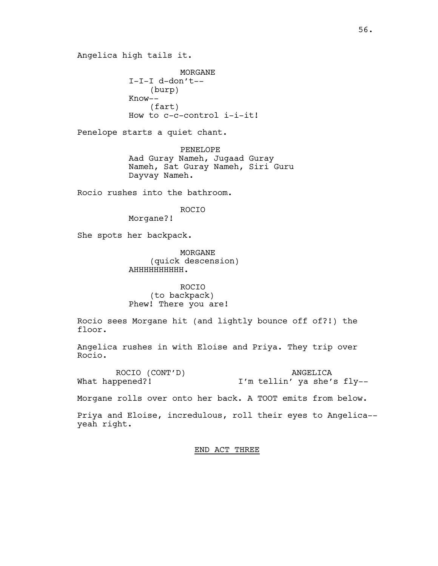Angelica high tails it.

MORGANE I-I-I d-don't-- (burp) Know-- (fart) How to c-c-control i-i-it!

Penelope starts a quiet chant.

PENELOPE Aad Guray Nameh, Jugaad Guray Nameh, Sat Guray Nameh, Siri Guru Dayvay Nameh.

Rocio rushes into the bathroom.

ROCIO

Morgane?!

She spots her backpack.

MORGANE (quick descension) AHHHHHHHHHH.

ROCIO (to backpack) Phew! There you are!

Rocio sees Morgane hit (and lightly bounce off of?!) the floor.

Angelica rushes in with Eloise and Priya. They trip over Rocio.

ROCIO (CONT'D) What happened?! ANGELICA I'm tellin' ya she's fly--

Morgane rolls over onto her back. A TOOT emits from below.

Priya and Eloise, incredulous, roll their eyes to Angelica- yeah right.

END ACT THREE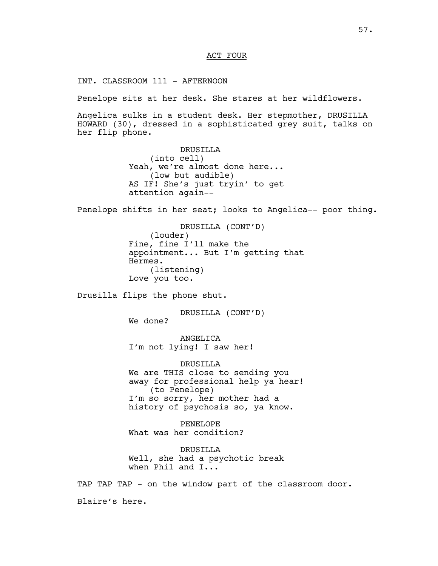## ACT FOUR

INT. CLASSROOM 111 - AFTERNOON

Penelope sits at her desk. She stares at her wildflowers.

Angelica sulks in a student desk. Her stepmother, DRUSILLA HOWARD (30), dressed in a sophisticated grey suit, talks on her flip phone.

> DRUSILLA (into cell) Yeah, we're almost done here... (low but audible) AS IF! She's just tryin' to get attention again--

Penelope shifts in her seat; looks to Angelica-- poor thing.

DRUSILLA (CONT'D) (louder) Fine, fine I'll make the appointment... But I'm getting that Hermes. (listening) Love you too.

Drusilla flips the phone shut.

DRUSILLA (CONT'D) We done?

ANGELICA I'm not lying! I saw her!

DRUSILLA We are THIS close to sending you away for professional help ya hear! (to Penelope) I'm so sorry, her mother had a history of psychosis so, ya know.

PENELOPE What was her condition?

DRUSILLA Well, she had a psychotic break when Phil and I...

TAP TAP TAP - on the window part of the classroom door. Blaire's here.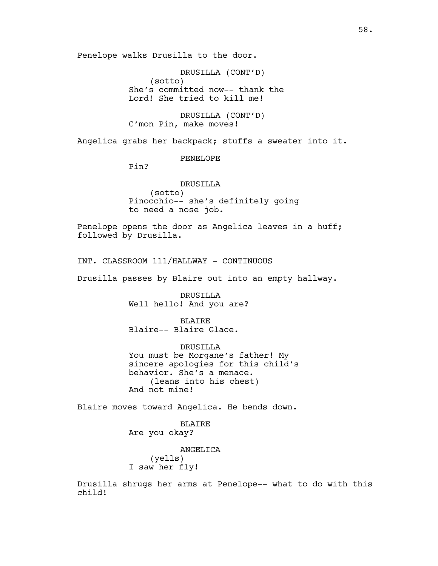Penelope walks Drusilla to the door.

DRUSILLA (CONT'D) (sotto) She's committed now-- thank the Lord! She tried to kill me!

DRUSILLA (CONT'D) C'mon Pin, make moves!

Angelica grabs her backpack; stuffs a sweater into it.

PENELOPE

Pin?

DRUSILLA (sotto) Pinocchio-- she's definitely going to need a nose job.

Penelope opens the door as Angelica leaves in a huff; followed by Drusilla.

INT. CLASSROOM 111/HALLWAY - CONTINUOUS

Drusilla passes by Blaire out into an empty hallway.

DRUSILLA Well hello! And you are?

**BLAIRE** Blaire-- Blaire Glace.

DRUSILLA You must be Morgane's father! My sincere apologies for this child's behavior. She's a menace. (leans into his chest) And not mine!

Blaire moves toward Angelica. He bends down.

BLAIRE Are you okay?

ANGELICA (yells) I saw her fly!

Drusilla shrugs her arms at Penelope-- what to do with this child!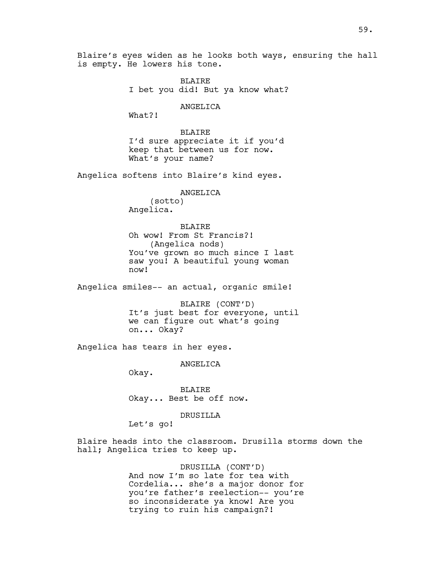Blaire's eyes widen as he looks both ways, ensuring the hall is empty. He lowers his tone.

> BLAIRE I bet you did! But ya know what?

> > ANGELICA

What?!

BLAIRE I'd sure appreciate it if you'd keep that between us for now. What's your name?

Angelica softens into Blaire's kind eyes.

ANGELICA (sotto) Angelica.

**BLAIRE** Oh wow! From St Francis?! (Angelica nods) You've grown so much since I last saw you! A beautiful young woman now!

Angelica smiles-- an actual, organic smile!

BLAIRE (CONT'D) It's just best for everyone, until we can figure out what's going on... Okay?

Angelica has tears in her eyes.

ANGELICA

Okay.

BLAIRE Okay... Best be off now.

DRUSILLA

Let's go!

Blaire heads into the classroom. Drusilla storms down the hall; Angelica tries to keep up.

> DRUSILLA (CONT'D) And now I'm so late for tea with Cordelia... she's a major donor for you're father's reelection-- you're so inconsiderate ya know! Are you trying to ruin his campaign?!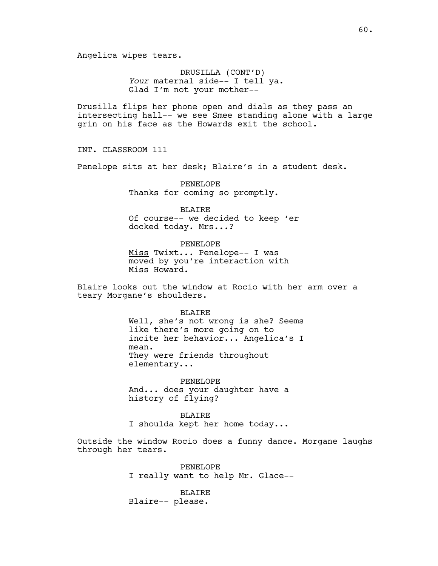Angelica wipes tears.

DRUSILLA (CONT'D) *Your* maternal side-- I tell ya. Glad I'm not your mother--

Drusilla flips her phone open and dials as they pass an intersecting hall-- we see Smee standing alone with a large grin on his face as the Howards exit the school.

INT. CLASSROOM 111

Penelope sits at her desk; Blaire's in a student desk.

PENELOPE Thanks for coming so promptly.

BLAIRE Of course-- we decided to keep 'er docked today. Mrs...?

PENELOPE Miss Twixt... Penelope-- I was moved by you're interaction with Miss Howard.

Blaire looks out the window at Rocio with her arm over a teary Morgane's shoulders.

> BLAIRE Well, she's not wrong is she? Seems like there's more going on to incite her behavior... Angelica's I mean. They were friends throughout elementary...

PENELOPE And... does your daughter have a history of flying?

BLAIRE I shoulda kept her home today...

Outside the window Rocio does a funny dance. Morgane laughs through her tears.

> PENELOPE I really want to help Mr. Glace--

BLAIRE Blaire-- please.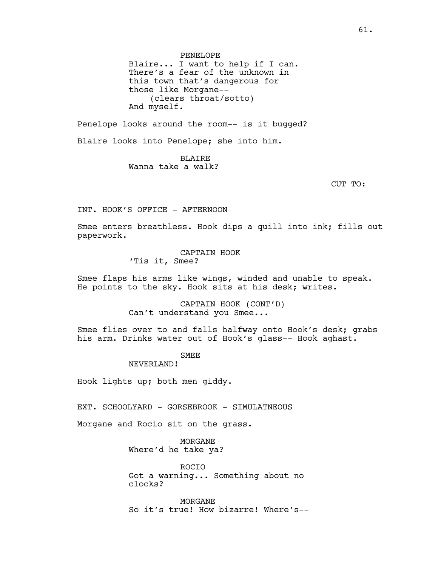PENELOPE Blaire... I want to help if I can. There's a fear of the unknown in this town that's dangerous for those like Morgane-- (clears throat/sotto) And myself.

Penelope looks around the room-- is it bugged?

Blaire looks into Penelope; she into him.

BLAIRE Wanna take a walk?

CUT TO:

INT. HOOK'S OFFICE - AFTERNOON

Smee enters breathless. Hook dips a quill into ink; fills out paperwork.

> CAPTAIN HOOK 'Tis it, Smee?

Smee flaps his arms like wings, winded and unable to speak. He points to the sky. Hook sits at his desk; writes.

> CAPTAIN HOOK (CONT'D) Can't understand you Smee...

Smee flies over to and falls halfway onto Hook's desk; grabs his arm. Drinks water out of Hook's glass-- Hook aghast.

**SMEE** 

NEVERLAND!

Hook lights up; both men giddy.

EXT. SCHOOLYARD - GORSEBROOK - SIMULATNEOUS

Morgane and Rocio sit on the grass.

MORGANE Where'd he take ya?

ROCIO Got a warning... Something about no clocks?

MORGANE So it's true! How bizarre! Where's--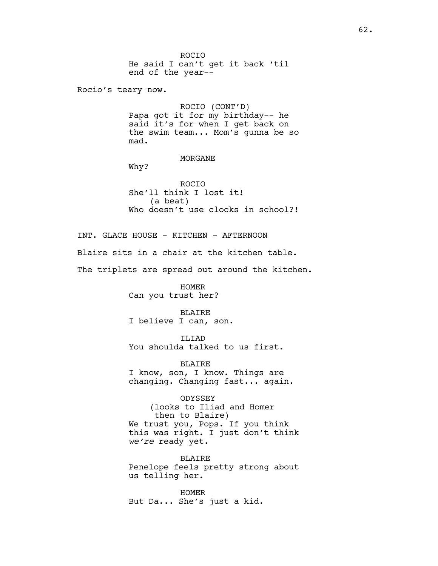ROCIO He said I can't get it back 'til end of the year-- Rocio's teary now. ROCIO (CONT'D) Papa got it for my birthday-- he said it's for when I get back on the swim team... Mom's gunna be so

#### MORGANE

Why?

mad.

ROCIO She'll think I lost it! (a beat) Who doesn't use clocks in school?!

INT. GLACE HOUSE - KITCHEN - AFTERNOON Blaire sits in a chair at the kitchen table. The triplets are spread out around the kitchen.

> HOMER Can you trust her?

#### BLAIRE

I believe I can, son.

ILIAD You shoulda talked to us first.

BLAIRE I know, son, I know. Things are

changing. Changing fast... again.

ODYSSEY (looks to Iliad and Homer then to Blaire) We trust you, Pops. If you think this was right. I just don't think *we're* ready yet.

BLAIRE Penelope feels pretty strong about us telling her.

HOMER But Da... She's just a kid.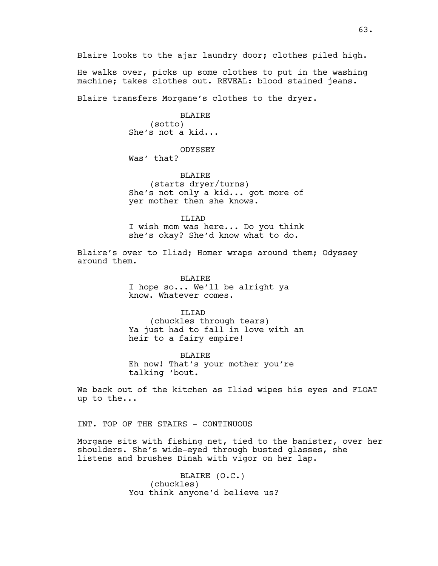He walks over, picks up some clothes to put in the washing machine; takes clothes out. REVEAL: blood stained jeans.

Blaire transfers Morgane's clothes to the dryer.

BLAIRE (sotto) She's not a kid...

ODYSSEY

Was' that?

BLAIRE (starts dryer/turns) She's not only a kid... got more of yer mother then she knows.

ILIAD I wish mom was here... Do you think she's okay? She'd know what to do.

Blaire's over to Iliad; Homer wraps around them; Odyssey around them.

> BLAIRE I hope so... We'll be alright ya know. Whatever comes.

ILIAD (chuckles through tears) Ya just had to fall in love with an heir to a fairy empire!

BLAIRE Eh now! That's your mother you're talking 'bout.

We back out of the kitchen as Iliad wipes his eyes and FLOAT up to the...

INT. TOP OF THE STAIRS - CONTINUOUS

Morgane sits with fishing net, tied to the banister, over her shoulders. She's wide-eyed through busted glasses, she listens and brushes Dinah with vigor on her lap.

> BLAIRE (O.C.) (chuckles) You think anyone'd believe us?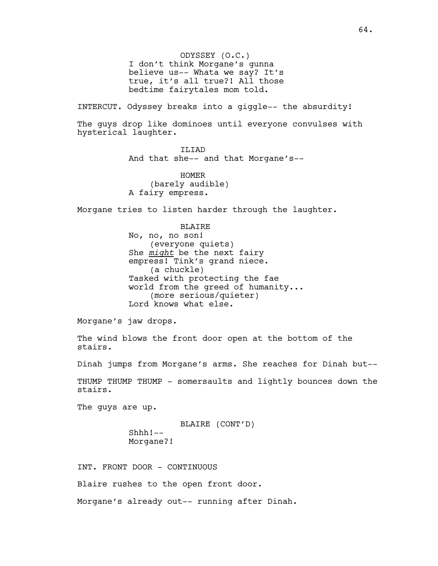ODYSSEY (O.C.) I don't think Morgane's gunna believe us-- Whata we say? It's true, it's all true?! All those bedtime fairytales mom told.

INTERCUT. Odyssey breaks into a giggle-- the absurdity!

The guys drop like dominoes until everyone convulses with hysterical laughter.

ILIAD

And that she-- and that Morgane's--

HOMER (barely audible) A fairy empress.

Morgane tries to listen harder through the laughter.

**BLAIRE** 

No, no, no son! (everyone quiets) She *might* be the next fairy empress! Tink's grand niece. (a chuckle) Tasked with protecting the fae world from the greed of humanity... (more serious/quieter) Lord knows what else.

Morgane's jaw drops.

The wind blows the front door open at the bottom of the stairs.

Dinah jumps from Morgane's arms. She reaches for Dinah but--

THUMP THUMP THUMP - somersaults and lightly bounces down the stairs.

The guys are up.

BLAIRE (CONT'D) Shhh!-- Morgane?!

INT. FRONT DOOR - CONTINUOUS

Blaire rushes to the open front door.

Morgane's already out-- running after Dinah.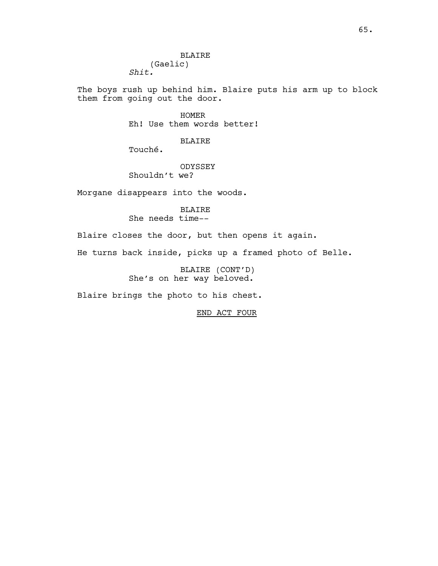BLAIRE (Gaelic) *Shit.*

The boys rush up behind him. Blaire puts his arm up to block them from going out the door.

> HOMER Eh! Use them words better!

> > BLAIRE

Touché.

ODYSSEY Shouldn't we?

Morgane disappears into the woods.

BLAIRE She needs time--

Blaire closes the door, but then opens it again.

He turns back inside, picks up a framed photo of Belle.

BLAIRE (CONT'D) She's on her way beloved.

Blaire brings the photo to his chest.

END ACT FOUR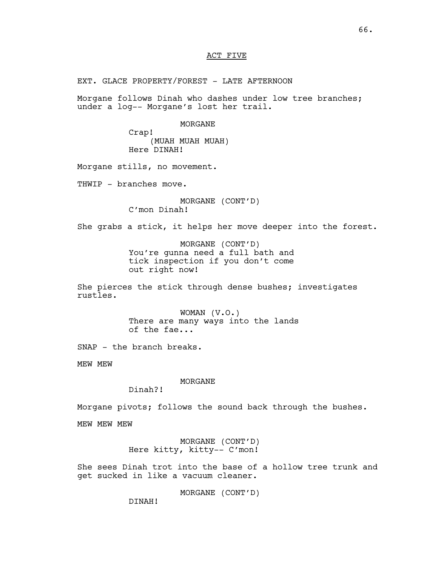## ACT FIVE

EXT. GLACE PROPERTY/FOREST - LATE AFTERNOON

Morgane follows Dinah who dashes under low tree branches; under a log-- Morgane's lost her trail.

#### MORGANE

Crap! (MUAH MUAH MUAH) Here DINAH!

Morgane stills, no movement.

THWIP - branches move.

MORGANE (CONT'D) C'mon Dinah!

She grabs a stick, it helps her move deeper into the forest.

MORGANE (CONT'D) You're gunna need a full bath and tick inspection if you don't come out right now!

She pierces the stick through dense bushes; investigates rustles.

> WOMAN (V.O.) There are many ways into the lands of the fae...

SNAP - the branch breaks.

MEW MEW

MORGANE

Dinah?!

Morgane pivots; follows the sound back through the bushes.

MEW MEW MEW

MORGANE (CONT'D) Here kitty, kitty-- C'mon!

She sees Dinah trot into the base of a hollow tree trunk and get sucked in like a vacuum cleaner.

MORGANE (CONT'D)

DINAH!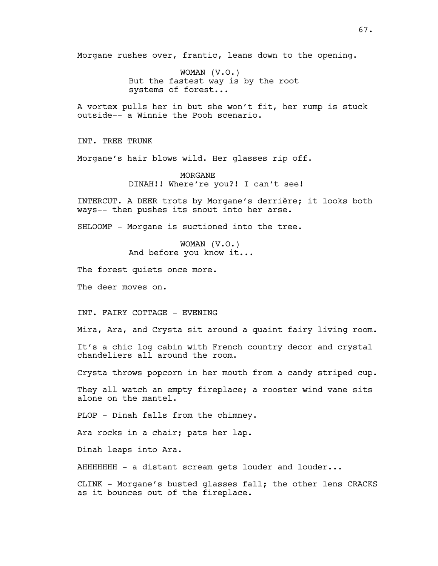Morgane rushes over, frantic, leans down to the opening.

WOMAN (V.O.) But the fastest way is by the root systems of forest...

A vortex pulls her in but she won't fit, her rump is stuck outside-- a Winnie the Pooh scenario.

INT. TREE TRUNK

Morgane's hair blows wild. Her glasses rip off.

MORGANE DINAH!! Where're you?! I can't see!

INTERCUT. A DEER trots by Morgane's derrière; it looks both ways-- then pushes its snout into her arse.

SHLOOMP - Morgane is suctioned into the tree.

WOMAN (V.O.) And before you know it...

The forest quiets once more.

The deer moves on.

INT. FAIRY COTTAGE - EVENING

Mira, Ara, and Crysta sit around a quaint fairy living room.

It's a chic log cabin with French country decor and crystal chandeliers all around the room.

Crysta throws popcorn in her mouth from a candy striped cup.

They all watch an empty fireplace; a rooster wind vane sits alone on the mantel.

PLOP - Dinah falls from the chimney.

Ara rocks in a chair; pats her lap.

Dinah leaps into Ara.

AHHHHHHH - a distant scream gets louder and louder...

CLINK - Morgane's busted glasses fall; the other lens CRACKS as it bounces out of the fireplace.